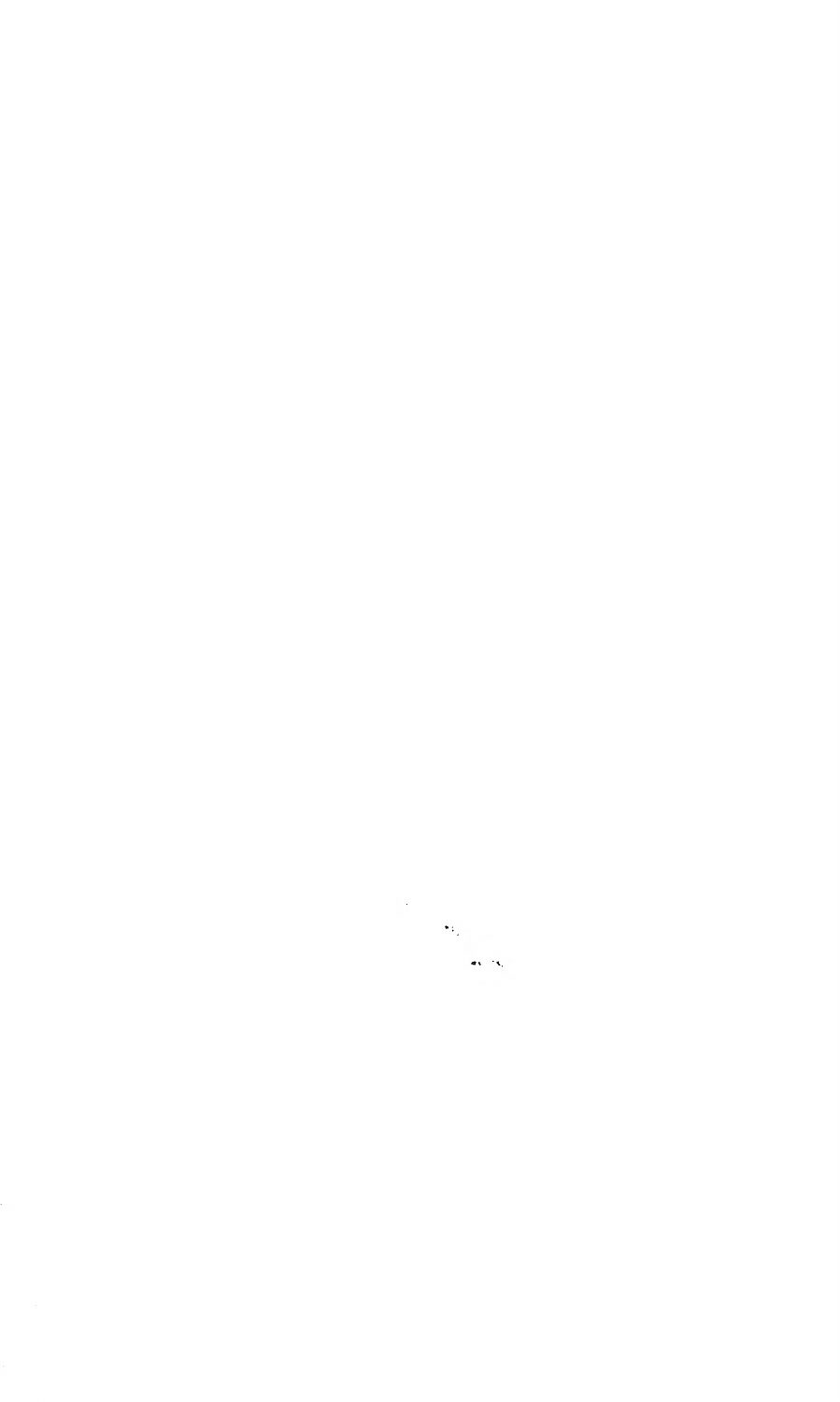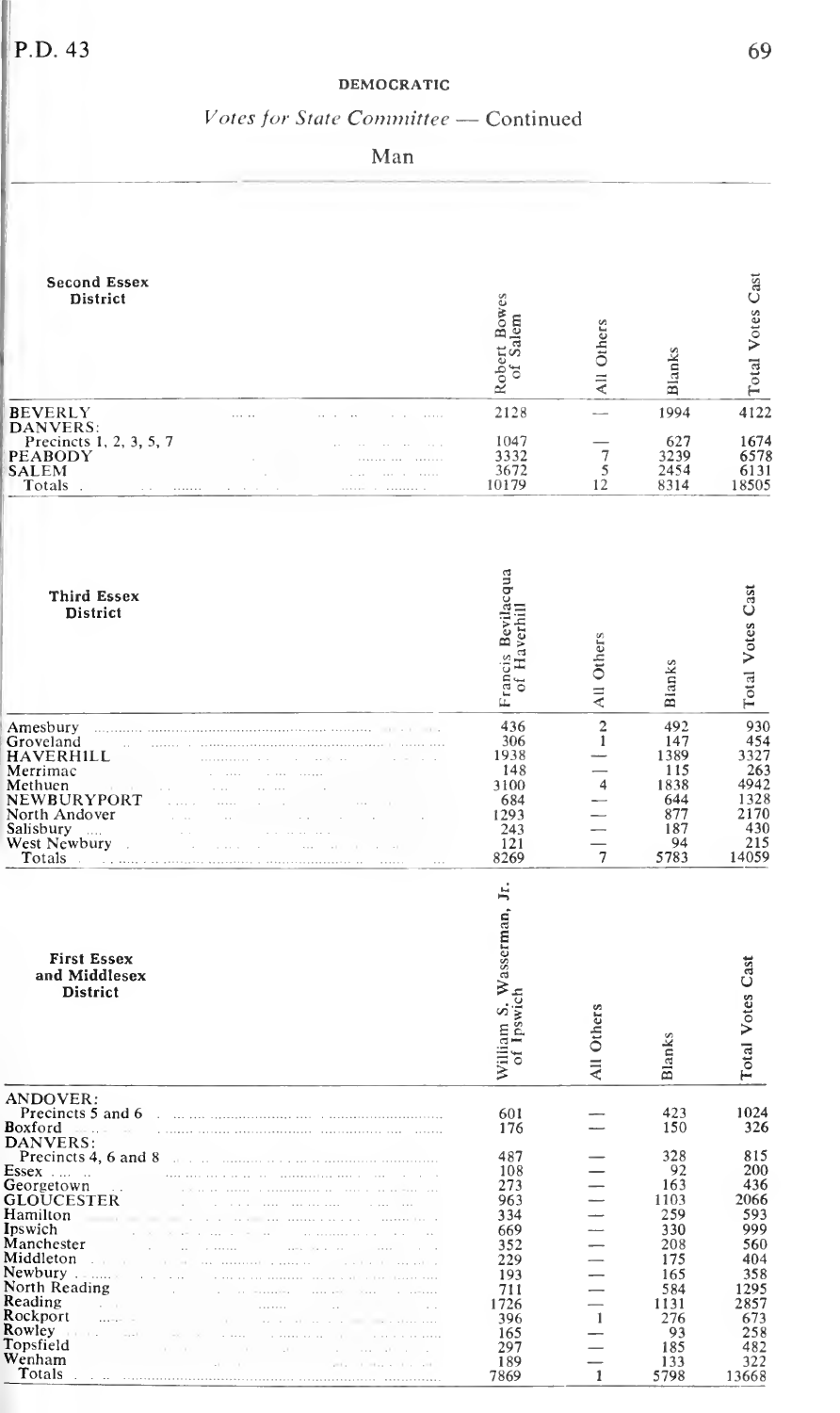# Votes for State Committee — Continued

| <b>Second Essex</b><br>District                                                                                                                                                                                                                                                                                                                                                                                                                                                                | Robert Bowes<br>of Salem                                                                        | All Others                                                                          | <b>Blanks</b>                                                                                  | Total Votes Cast                                                                                  |
|------------------------------------------------------------------------------------------------------------------------------------------------------------------------------------------------------------------------------------------------------------------------------------------------------------------------------------------------------------------------------------------------------------------------------------------------------------------------------------------------|-------------------------------------------------------------------------------------------------|-------------------------------------------------------------------------------------|------------------------------------------------------------------------------------------------|---------------------------------------------------------------------------------------------------|
| <b>BEVERLY</b><br>an an<br>v.<br>à.<br>DANVERS:<br>Precincts 1, 2, 3, 5, 7                                                                                                                                                                                                                                                                                                                                                                                                                     | 2128<br>1047                                                                                    |                                                                                     | 1994<br>627                                                                                    | 4122<br>1674                                                                                      |
| PEABODY<br><b>SALEM</b><br>Totals                                                                                                                                                                                                                                                                                                                                                                                                                                                              | 3332<br>3672<br>10179                                                                           | $\frac{7}{12}$                                                                      | 3239<br>2454<br>8314                                                                           | 6578<br>6131<br>18505                                                                             |
| <b>Third Essex</b><br>District                                                                                                                                                                                                                                                                                                                                                                                                                                                                 | Francis Bevilacqua<br>of Haverhill                                                              | $\rightarrow$ $\sim$  All Others                                                    | Blanks                                                                                         | Total Votes Cast                                                                                  |
| Amesbury<br>Groveland<br><b>HAVERHILL</b><br>and the company of the company of the company of the company of the company of the company of the company of the<br>Merrimac<br>$\sim$<br>للمناصب المتناول<br>Methuen<br>a con<br>$\sim$ $\sim$<br>NEWBURYPORT<br>$\sim$<br>$\sim$<br>North Andover<br>$\sim$<br>$\sim$<br>Salisbury<br>West Newbury<br>$\sim$<br>Totals                                                                                                                          | 436<br>306<br>1938<br>148<br>3100<br>684<br>1293<br>243<br>121<br>8269                          | $\frac{1}{4}$<br>$\overline{7}$                                                     | 492<br>147<br>1389<br>115<br>1838<br>644<br>877<br>187<br>94<br>5783                           | 930<br>454<br>3327<br>263<br>4942<br>1328<br>2170<br>430<br>215<br>14059                          |
| <b>First Essex</b><br>and Middlesex<br><b>District</b>                                                                                                                                                                                                                                                                                                                                                                                                                                         | 5.<br>William S. Wasserman,<br>Ipswich<br>of                                                    | All Others                                                                          | Blanks                                                                                         | Total Votes Cast                                                                                  |
| ANDOVER:<br>Precincts 5 and 6<br>Boxford<br>                                                                                                                                                                                                                                                                                                                                                                                                                                                   | 601<br>176                                                                                      |                                                                                     | 423<br>150                                                                                     | 1024<br>326                                                                                       |
| DANVERS:<br>Precincts 4, 6 and 8<br>The community of the community and community<br>$Essex$ .<br>Georgetown<br><b>GLOUCESTER</b><br>Hamilton<br>$\frac{1}{2}$<br>Ipswich<br>Manchester<br>Middleton<br>والمستنبذة<br>a continuous<br>and company<br>Newbury.<br>$\sim$<br>and the company company and<br>and an international com-<br>North Reading<br>a constitution and the state of all<br>Reading<br>$\alpha$<br>Rockport<br>$\sim$ $\sim$ $\sim$<br>Rowley<br>Topsfield<br>$\bar{\alpha}$ | 487<br>108<br>273<br>963<br>334<br>669<br>352<br>229<br>193<br>711<br>1726<br>396<br>165<br>297 | $\frac{1}{1}$ $\frac{1}{1}$ $\frac{1}{1}$ $\frac{1}{1}$ $\frac{1}{1}$ $\frac{1}{1}$ | 328<br>92<br>163<br>1103<br>259<br>330<br>208<br>175<br>165<br>584<br>1131<br>276<br>93<br>185 | 815<br>200<br>436<br>2066<br>593<br>999<br>560<br>404<br>358<br>1295<br>2857<br>673<br>258<br>482 |
| Wenham<br>Colorado<br>Totals                                                                                                                                                                                                                                                                                                                                                                                                                                                                   | 189<br>7869                                                                                     | $\mathbf{1}$                                                                        | 133<br>5798                                                                                    | 322<br>13668                                                                                      |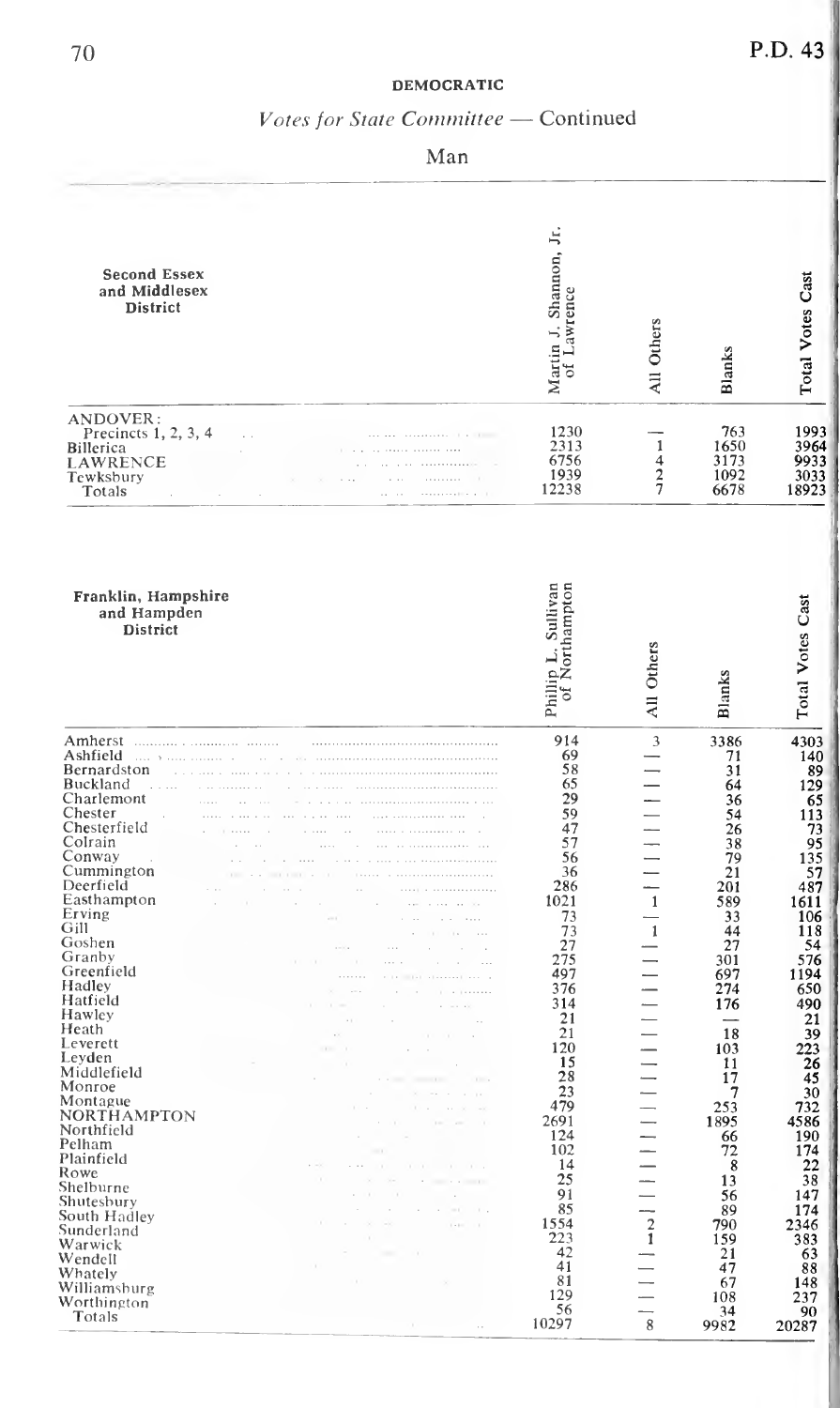### Votes for State Committee — Continued

| <b>Second Essex</b><br>and Middlesex<br><b>District</b>                                                                                                                                                                                                                                                                                                                                                                                                                                                                                                                                                                                                                                                                                                                                                                                                                                   | Martin J. Shannon, Jr.<br>of Lawrence                                                                                                                                                                                                                                                       | All Others                                  | Blanks                                                                                                                                                                                                                                                                    | Total Votes Cast                                                                                                                                                                                                                                                                                                      |
|-------------------------------------------------------------------------------------------------------------------------------------------------------------------------------------------------------------------------------------------------------------------------------------------------------------------------------------------------------------------------------------------------------------------------------------------------------------------------------------------------------------------------------------------------------------------------------------------------------------------------------------------------------------------------------------------------------------------------------------------------------------------------------------------------------------------------------------------------------------------------------------------|---------------------------------------------------------------------------------------------------------------------------------------------------------------------------------------------------------------------------------------------------------------------------------------------|---------------------------------------------|---------------------------------------------------------------------------------------------------------------------------------------------------------------------------------------------------------------------------------------------------------------------------|-----------------------------------------------------------------------------------------------------------------------------------------------------------------------------------------------------------------------------------------------------------------------------------------------------------------------|
| ANDOVER:<br>Precincts 1, 2, 3, 4<br>Billerica<br>LAWRENCE<br>Tewksbury<br>Totals                                                                                                                                                                                                                                                                                                                                                                                                                                                                                                                                                                                                                                                                                                                                                                                                          | 1230<br>2313<br>6756<br>1939<br>12238                                                                                                                                                                                                                                                       | $\mathbf{1}$<br>$\frac{4}{7}$               | 763<br>1650<br>3173<br>1092<br>6678                                                                                                                                                                                                                                       | 1993<br>3964<br>9933<br>3033<br>18923                                                                                                                                                                                                                                                                                 |
| Franklin, Hampshire<br>and Hampden<br>District                                                                                                                                                                                                                                                                                                                                                                                                                                                                                                                                                                                                                                                                                                                                                                                                                                            | Phillip L. Sullivan<br>Northampton<br>ð                                                                                                                                                                                                                                                     | All Others                                  | Blanks                                                                                                                                                                                                                                                                    | Total Votes Cast                                                                                                                                                                                                                                                                                                      |
| Bernardston<br>Buckland<br>and the same communication of the community<br>and a company of the<br>Charlemont<br>$\label{eq:1} \begin{aligned} \mathcal{L}_{\text{max}}(\mathcal{L}_{\text{max}}) & = \mathcal{L}_{\text{max}}(\mathcal{L}_{\text{max}}) \end{aligned}$<br>a an an an an ainmeil<br>Chester<br>$\cdots$<br>Chesterfield<br>and community<br>Colrain<br>Conway<br>Cummington<br>$\sim$<br><b>CONTRACTOR</b><br>Deerfield<br>$\sim$<br>Easthampton<br>and a surface dealer<br>÷.<br>Erving<br>$\sim$<br>and the same<br>Gill<br>Goshen<br>Granby<br>Greenfield<br>Hadley<br>Hatfield<br>Hawley<br>Heath<br>Leverett<br>Leyden<br>Middlefield<br>Monroe<br>Montague<br>NORTHAMPTON<br>Northfield<br>Pelham<br>Plainfield<br>×<br>Rowe<br>x<br>Shelburne<br>Shutesbury<br>South Hadley<br>Sunderland<br>Warwick<br>Wendell<br>Whately<br>Williamsburg<br>Worthington<br>Totals | 914<br>$\frac{69}{58}$<br>65<br>29<br>59<br>47<br>57<br>56<br>36<br>286<br>1021<br>73<br>73<br>27<br>275<br>497<br>376<br>314<br>21<br>$\overline{21}$<br>120<br>15<br>28<br>23<br>479<br>2691<br>124<br>102<br>14<br>25<br>91<br>85<br>1554<br>223<br>42<br>41<br>81<br>129<br>56<br>10297 | $\overline{\mathbf{3}}$<br>$\boldsymbol{8}$ | 3386<br>71<br>31<br>64<br>36<br>54<br>26<br>$\frac{38}{79}$<br>21<br>201<br>589<br>33<br>44<br>27<br>301<br>697<br>274<br>176<br>18<br>103<br>11<br>17<br>7<br>253<br>1895<br>$\frac{66}{72}$<br>8<br>13<br>56<br>89<br>790<br>159<br>21<br>47<br>67<br>108<br>34<br>9982 | 4303<br>140<br>$\frac{89}{129}$<br>$\frac{65}{113}$<br>$\frac{73}{95}$<br>$\frac{95}{135}$<br>$\frac{487}{1611}$<br>106<br>118<br>54<br>576<br>1194<br>650<br>490<br>21<br>39<br>223<br>26<br>45<br>30<br>732<br>4586<br>190<br>174<br>22<br>38<br>147<br>174<br>2346<br>383<br>63<br>88<br>148<br>237<br>90<br>20287 |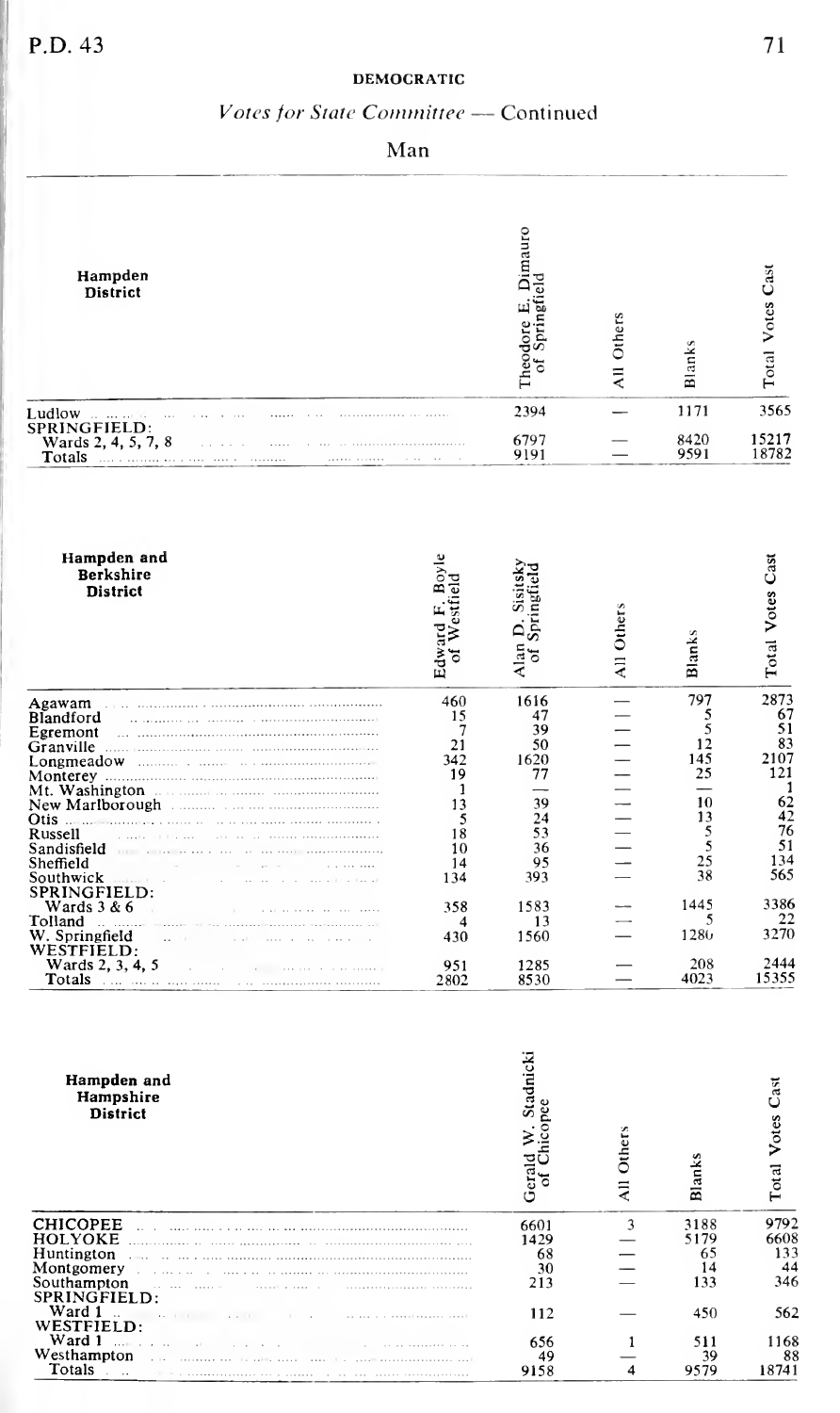#### Votes for State Committee — Continued

| Hampden<br>District                                                                                                                                                                                                                                                        |                                                                                                             | Theodore E. Dimauro<br>Springfield<br>ð                                                                                | All Others                     | Blanks                                                                                                                                     | Total Votes Cast                                                                                                                                        |
|----------------------------------------------------------------------------------------------------------------------------------------------------------------------------------------------------------------------------------------------------------------------------|-------------------------------------------------------------------------------------------------------------|------------------------------------------------------------------------------------------------------------------------|--------------------------------|--------------------------------------------------------------------------------------------------------------------------------------------|---------------------------------------------------------------------------------------------------------------------------------------------------------|
| Ludlow                                                                                                                                                                                                                                                                     |                                                                                                             | 2394                                                                                                                   |                                | 1171                                                                                                                                       | 3565                                                                                                                                                    |
| SPRINGFIELD:<br>Wards 2, 4, 5, 7, 8<br>Totals<br>and a manager                                                                                                                                                                                                             |                                                                                                             | 6797<br>9191                                                                                                           |                                | 8420<br>9591                                                                                                                               | 15217<br>18782                                                                                                                                          |
| Hampden and<br><b>Berkshire</b><br><b>District</b>                                                                                                                                                                                                                         | ω<br>Edward F. Boyl<br>Westfield<br>á                                                                       | Alan D. Sisitsky<br>of Springfield                                                                                     | All Others                     | Blanks                                                                                                                                     | Total Votes Cast                                                                                                                                        |
| Agawam<br>Blandford<br>a signor's common communication<br>Egremont<br>Longmeadow<br>Monterey<br>Otis<br>$\sim$<br>Russell<br>Sandisfield<br>Sheffield<br>Southwick<br>SPRINGFIELD:<br>Wards 3 & 6<br>Tolland<br>W. Springfield<br>WESTFIELD:<br>Wards 2, 3, 4, 5<br>Totals | 460<br>$\frac{15}{7}$<br>21<br>342<br>19<br>ì<br>13<br>5<br>18<br>10<br>14<br>134<br>358<br>4<br>430<br>951 | 1616<br>47<br>39<br>50<br>1620<br>77<br>39<br>$\frac{24}{53}$<br>36<br>95<br>393<br>1583<br>13<br>1560<br>1285<br>8530 | -----------                    | 797<br>5<br>5<br>12<br>$\frac{145}{25}$<br>10<br>13<br>5<br>$\overline{\mathbf{5}}$<br>$\frac{25}{38}$<br>1445<br>5<br>1280<br>208<br>4023 | 2873<br>$^{67}_{51}$<br>83<br>2107<br>121<br>1<br>$\frac{62}{42}$<br>$\frac{42}{51}$<br>$\frac{134}{565}$<br>3386<br>$\frac{22}{3270}$<br>2444<br>15355 |
| a contractor<br>Hampden and<br>Hampshire<br>District                                                                                                                                                                                                                       | 2802                                                                                                        | Gerald W. Stadnicki<br>of Chicope                                                                                      | All Others                     | Blanks                                                                                                                                     | Total Votes Cast                                                                                                                                        |
| <b>CHICOPEE</b><br>Huntington<br>Montgomery<br>a con comparativa de la caractería de la caractería de la caractería de la caractería de la caractería de la c<br>Southampton<br>contractor and an                                                                          |                                                                                                             | 6601<br>1429<br>68<br>30<br>213                                                                                        | 3                              | 3188<br>5179<br>65<br>14<br>133                                                                                                            | 9792<br>6608<br>133<br>44<br>346                                                                                                                        |
| SPRINGFIELD:<br>Ward 1<br>WESTFIELD:                                                                                                                                                                                                                                       |                                                                                                             | 112                                                                                                                    |                                | 450                                                                                                                                        | 562                                                                                                                                                     |
| Ward 1<br>Westhampton<br>Totals                                                                                                                                                                                                                                            |                                                                                                             | 656<br>49<br>9158                                                                                                      | $\mathbf{1}$<br>$\overline{4}$ | 511<br>39<br>9579                                                                                                                          | 1168<br>$\frac{88}{18741}$                                                                                                                              |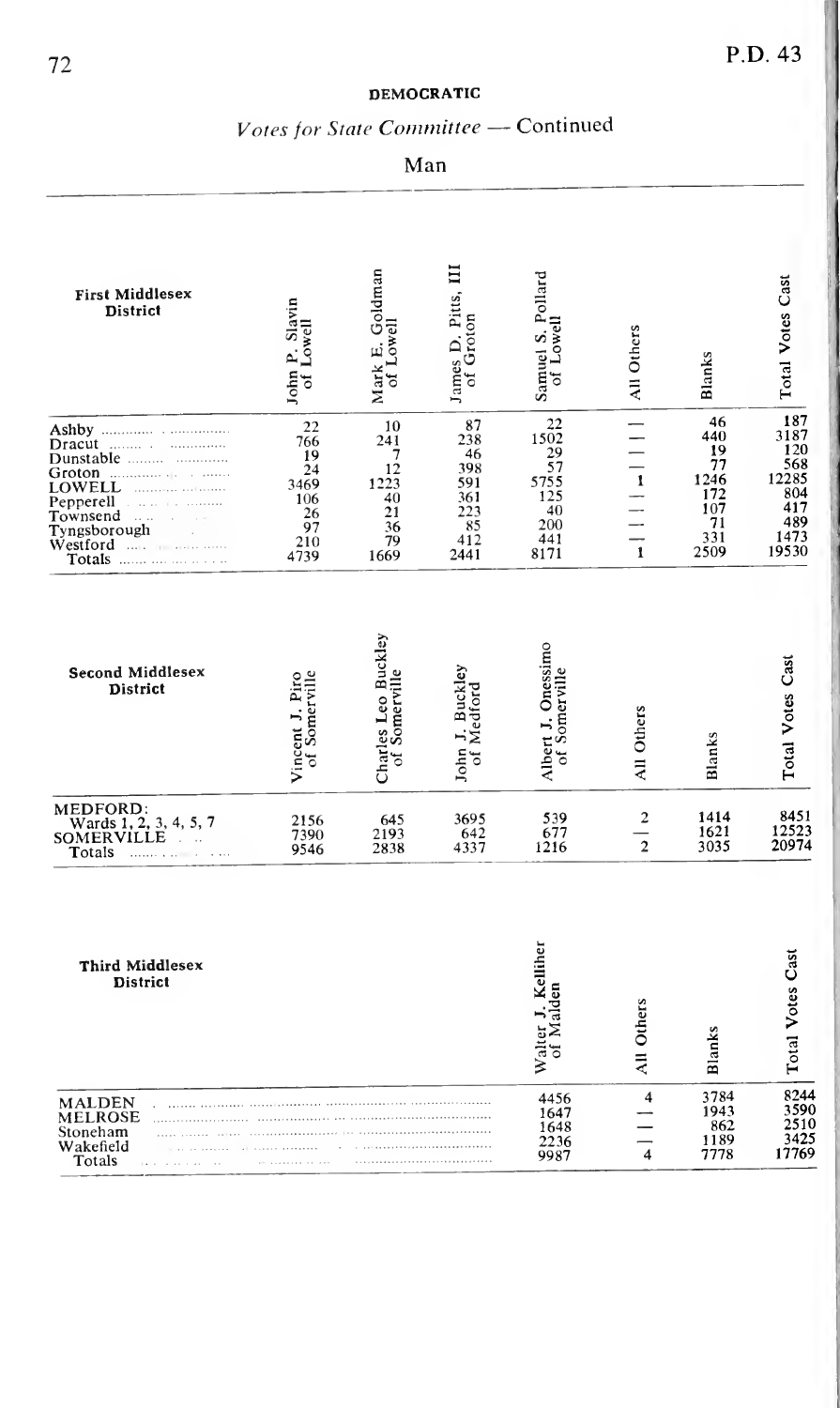# Votes for State Committee — Continued

| <b>First Middlesex</b><br><b>District</b>                                                                                   | John P. Slavin<br>of Lowell                                                  | Mark E. Goldman<br>of Lowell                                                                       | James D. Pitts, III<br>of Groton                                 | Samuel S. Pollard<br>of Lowell                                                                             | All Others                    | Blanks                                                                  | Total Votes Cast                                                                |
|-----------------------------------------------------------------------------------------------------------------------------|------------------------------------------------------------------------------|----------------------------------------------------------------------------------------------------|------------------------------------------------------------------|------------------------------------------------------------------------------------------------------------|-------------------------------|-------------------------------------------------------------------------|---------------------------------------------------------------------------------|
| LOWELL<br>Pepperell<br>Townsend<br>Tyngsborough<br>$\begin{array}{c}\n\text{ough} \\ \text{one} \\ \end{array}$<br>Westford | 22<br>766<br>19<br>24<br>3469<br>106<br>26<br>$\overline{97}$<br>210<br>4739 | 10<br>241<br>$\overline{7}$<br>12<br>1223<br>$\overline{40}$<br>21<br>36<br>$\frac{1}{79}$<br>1669 | 87<br>238<br>46<br>398<br>591<br>361<br>223<br>85<br>412<br>2441 | $\begin{array}{r} 22 \\ 1502 \\ 29 \\ 57 \\ 5755 \\ 125 \\ 125 \\ \end{array}$<br>40<br>200<br>441<br>8171 | $\frac{1}{1}$<br>$\mathbf{1}$ | 46<br>440<br>$\frac{19}{77}$<br>1246<br>172<br>107<br>71<br>331<br>2509 | 187<br>3187<br>120<br>$\frac{568}{12285}$<br>804<br>417<br>489<br>1473<br>19530 |
| <b>Second Middlesex</b><br>District                                                                                         | of Somerville<br>Vincent J. Piro                                             | Charles Leo Buckley<br>of Somerville                                                               | John J. Buckley<br>of Medford                                    | Albert J. Onessimo<br>of Somerville                                                                        | All Others                    | Blanks                                                                  | Total Votes Cast                                                                |
| MEDFORD:<br>Wards 1, 2, 3, 4, 5, 7<br>SOMERVILLE<br>Totals                                                                  | 2156<br>7390<br>9546                                                         | 645<br>2193<br>2838                                                                                | 3695<br>642<br>4337                                              | 539<br>677<br>1216                                                                                         | $\frac{2}{2}$                 | 1414<br>1621<br>3035                                                    | 8451<br>12523<br>20974                                                          |
| Third Middlesex<br><b>District</b>                                                                                          |                                                                              |                                                                                                    |                                                                  | Walter J. Kelliher<br>of Malden                                                                            | All Others                    | Blanks                                                                  | Total Votes Cast                                                                |
| <b>MALDEN</b><br><b>MELROSE</b><br>Stoneham<br>Wakefield<br>and an annual continuous common<br>Totals                       |                                                                              |                                                                                                    |                                                                  | 4456<br>1647<br>1648<br>2236<br>9987                                                                       | 4<br>$\frac{1}{4}$            | 3784<br>1943<br>862<br>1189<br>7778                                     | $8244$<br>3590<br>2510<br>3425<br>17769                                         |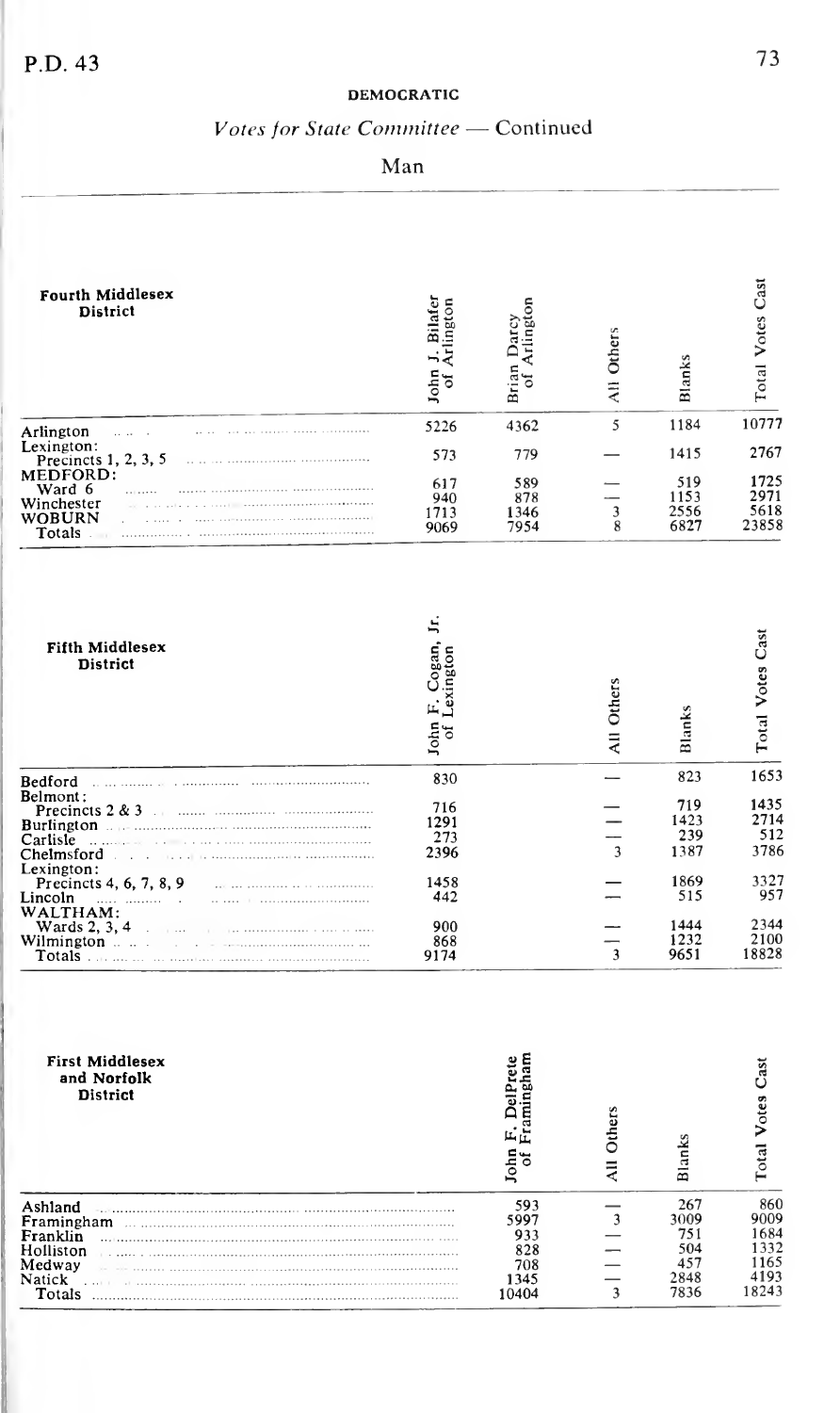# Votes for State Committee — Continued

| Fourth Middlesex<br>District                                                                                                                                                                    | John J. Bilafer<br>of Arlington    | Arlington<br>Brian Darcy<br>ð                     | All Others              | Blanks                                           | Total Votes Cast                                     |
|-------------------------------------------------------------------------------------------------------------------------------------------------------------------------------------------------|------------------------------------|---------------------------------------------------|-------------------------|--------------------------------------------------|------------------------------------------------------|
| Arlington<br>.                                                                                                                                                                                  | 5226                               | 4362                                              | 5                       | 1184                                             | 10777                                                |
| Lexington:<br>Precincts 1, 2, 3, 5                                                                                                                                                              | 573                                | 779                                               |                         | 1415                                             | 2767                                                 |
| MEDFORD:<br>Ward 6<br>Winchester<br>WOBURN<br>Totals                                                                                                                                            | 617<br>940<br>1713<br>9069         | 589<br>878<br>1346<br>7954                        | 3<br>8                  | 519<br>1153<br>2556<br>6827                      | 1725<br>2971<br>5618<br>23858                        |
| <b>Fifth Middlesex</b><br>District                                                                                                                                                              | John F. Cogan, Jr.<br>of Lexington |                                                   | All Others              | Blanks                                           | Total Votes Cast                                     |
| Bedford<br>a argumento de comunicación como comunicación                                                                                                                                        | 830                                |                                                   |                         | 823                                              | 1653                                                 |
| Belmont:<br>Precincts $2 & 3$<br>Carlisle<br>Chelmsford<br>The contract of the component component of the component of the component of the component of the component of<br>and a              | 716<br>1291<br>273<br>2396         |                                                   | 3                       | 719<br>1423<br>239<br>1387                       | 1435<br>2714<br>512<br>3786                          |
| Lexington:<br>Precincts 4, 6, 7, 8, 9<br>Lincoln<br>WALTHAM:                                                                                                                                    | 1458<br>442                        |                                                   |                         | 1869<br>515                                      | 3327<br>957                                          |
| Wards 2, 3, 4<br>$\sim$ 100<br>The contract of the contract of the contract of the contract of the contract of the contract of the contract of<br>Wilmington<br>$\sim$                          | 900<br>868<br>9174                 |                                                   | $\overline{\mathbf{3}}$ | 1444<br>1232<br>9651                             | 2344<br>2100<br>18828                                |
| <b>First Middlesex</b><br>and Norfolk<br>District                                                                                                                                               |                                    | John F. DelPrete<br>Framingham<br>ัธ              | All Others              | Blanks                                           | Total Votes Cast                                     |
| Ashland<br>Framingham<br>Franklin<br>Holliston<br>Medway<br>the contract of the contract of the contract of the contract of the contract of the contract of the contract of<br>Natick<br>Totals |                                    | 593<br>5997<br>933<br>828<br>708<br>1345<br>10404 | 3<br>$\overline{3}$     | 267<br>3009<br>751<br>504<br>457<br>2848<br>7836 | 860<br>9009<br>1684<br>1332<br>1165<br>4193<br>18243 |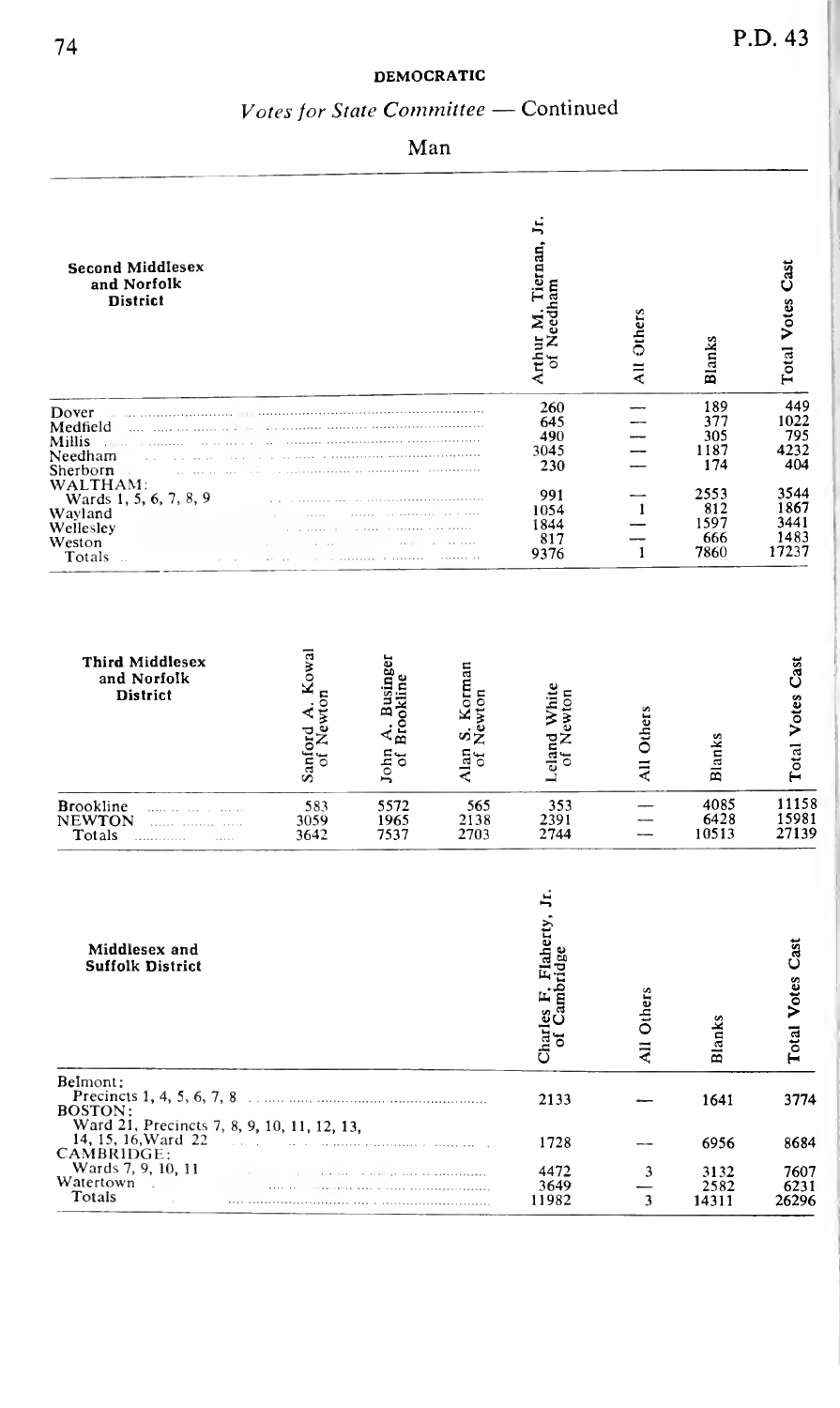# Votes for State Committee — Continued

| <b>Second Middlesex</b><br>and Norfolk<br>District                                                     |                                             |                                                         |                                                    | Arthur M. Tiernan, Jr.<br>of Needham       | All Others                   | Blanks                             | Total Votes Cast                      |
|--------------------------------------------------------------------------------------------------------|---------------------------------------------|---------------------------------------------------------|----------------------------------------------------|--------------------------------------------|------------------------------|------------------------------------|---------------------------------------|
| Dover<br>Medfield<br>and there are more to a<br>Millis<br>and a common<br>Needham<br>Sherborn          | The contract of the community and community |                                                         |                                                    | 260<br>645<br>490<br>3045<br>230           |                              | 189<br>377<br>305<br>1187<br>174   | 449<br>1022<br>795<br>4232<br>404     |
| WALTHAM:<br>Wards 1, 5, 6, 7, 8, 9<br>Wayland<br>Wellesley<br>Weston<br>Totals<br>$\ddot{\phantom{a}}$ |                                             | and the company of the<br>the control of the control of |                                                    | 991<br>1054<br>1844<br>817<br>9376         | $\bf{l}$<br>$\mathbf{1}$     | 2553<br>812<br>1597<br>666<br>7860 | 3544<br>1867<br>3441<br>1483<br>17237 |
| <b>Third Middlesex</b><br>and Norfolk<br><b>District</b>                                               | Sanford A. Kowal<br>of Newton               | John A. Businger<br>of Brookline                        | Alan S. Korman<br>of Newton                        | Leland White<br>of Newton                  | All Others                   | Blanks                             | Total Votes Cast                      |
| <b>Brookline</b><br>.<br><b>NEWTON</b><br>Totals<br>.<br>$\cdots$                                      | 583<br>3059<br>3642                         | 5572<br>1965<br>7537                                    | $\begin{array}{c} 565 \\ 2138 \\ 2703 \end{array}$ | 353<br>2391<br>2744                        |                              | 4085<br>6428<br>10513              | 11158<br>15981<br>27139               |
| Middlesex and<br><b>Suffolk District</b>                                                               |                                             |                                                         |                                                    | Charles F. Flaherty, Jr.<br>Cambridge<br>៵ | All Others                   | Blanks                             | Total Votes Cast                      |
| Belmont:<br>Precincts 1, 4, 5, 6, 7, 8                                                                 |                                             |                                                         |                                                    | 2133                                       |                              | 1641                               | 3774                                  |
| <b>BOSTON:</b><br>Ward 21, Precincts 7, 8, 9, 10, 11, 12, 13,<br>14, 15, 16, Ward 22<br>CAMBRIDGE:     |                                             | the contract of the contract of                         |                                                    | 1728                                       |                              | 6956                               | 8684                                  |
| Wards 7, 9, 10, 11<br>Watertown<br>Totals                                                              | W.                                          |                                                         |                                                    | 4472<br>3649<br>11982                      | 3<br>$\overline{\mathbf{3}}$ | 3132<br>2582<br>14311              | 7607<br>$\frac{6231}{26296}$          |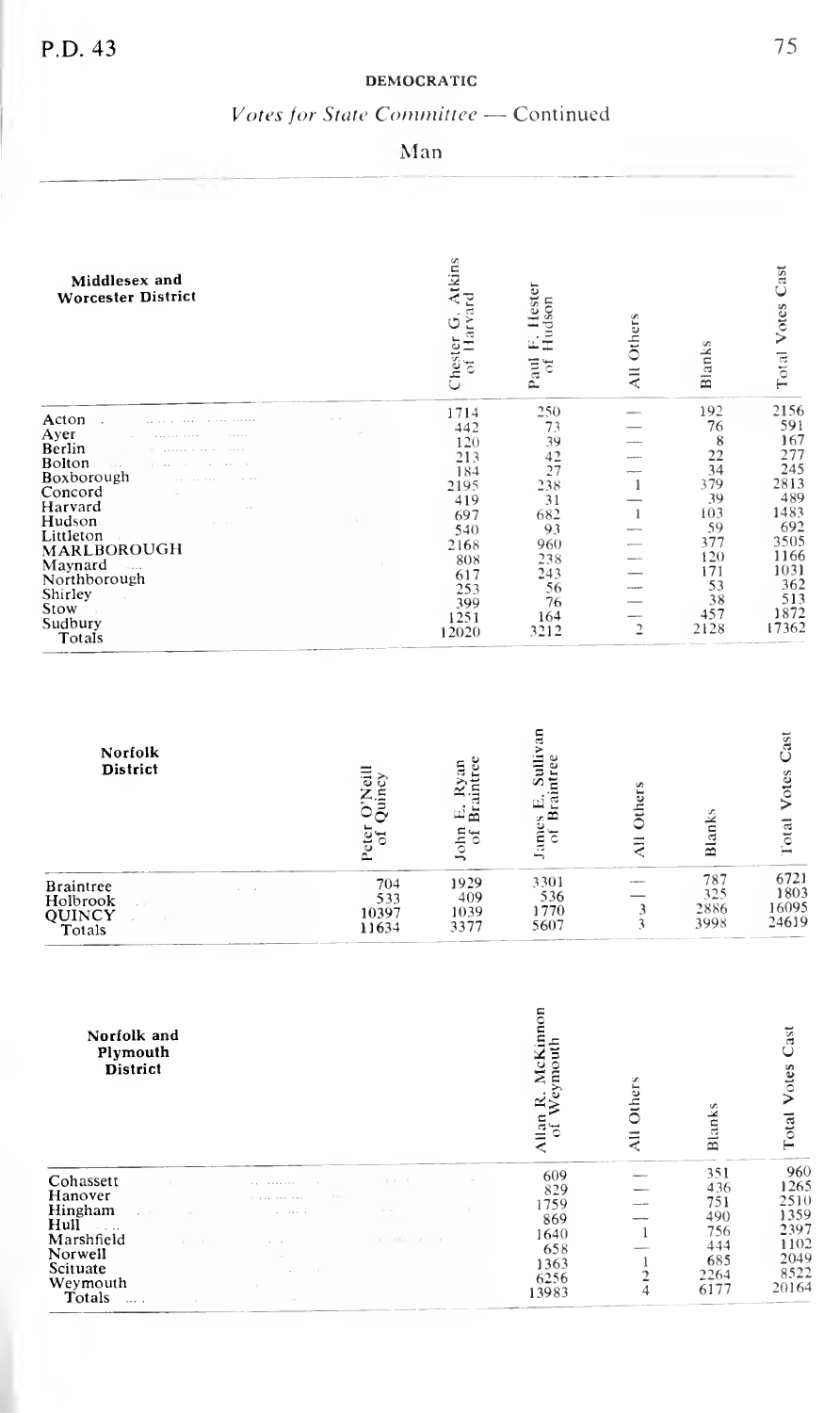### Votes for State Committee - Continued

| Middlesex and<br><b>Worcester District</b>                                                                                                                                                                   |          | Atkins<br>of Harvard<br>Chester G.                                                                                 | Hester<br>udson<br>Paul<br>đ                                                                                 | All Others     | Blanks                                                                                               | Total Votes Cast                                                                                                             |
|--------------------------------------------------------------------------------------------------------------------------------------------------------------------------------------------------------------|----------|--------------------------------------------------------------------------------------------------------------------|--------------------------------------------------------------------------------------------------------------|----------------|------------------------------------------------------------------------------------------------------|------------------------------------------------------------------------------------------------------------------------------|
| Acton<br>Ayer<br>Berlin<br>Bolton<br>Boxborough<br>Concord<br>Harvard<br>Hudson<br>Littleton<br>MARLBOROUGH<br>Maynard<br>$\mathcal{L}_{\text{max}}$<br>Northborough<br>Shirley<br>Stow<br>Sudbury<br>Totals |          | 1714<br>442<br>120<br>213<br>184<br>2195<br>419<br>697<br>540<br>2168<br>808<br>617<br>253<br>399<br>1251<br>12020 | 250<br>73<br>39<br>$\frac{42}{27}$<br>238<br>31<br>682<br>93<br>960<br>238<br>243<br>56<br>76<br>164<br>3212 | $\overline{a}$ | 192<br>76<br>8<br>22<br>34<br>379<br>39<br>103<br>59<br>377<br>120<br>171<br>53<br>38<br>457<br>2128 | 2156<br>591<br>167<br>277<br>245<br>2813<br>489<br>1483<br>692<br>3505<br>1166<br>1031<br>362<br>$\frac{513}{1872}$<br>17362 |
| Norfolk<br>District                                                                                                                                                                                          | ₹<br>ncy | intree<br>Ryan                                                                                                     | Sullivan<br>intree                                                                                           | 51             |                                                                                                      | Cast<br><b>ptes</b>                                                                                                          |

|                  | ິ<br>۰ |      |      |              |      |       |
|------------------|--------|------|------|--------------|------|-------|
| <b>Braintree</b> | 704    | 1929 | 3301 | <b>COMPO</b> | 787  | 6721  |
| Holbrook         | 533    | 409  | 536  |              | 325  | 803   |
| QUINCY           | 10397  | 1039 | 770  |              | 2886 | 16095 |
| Totals           | 11634  | 3377 | 5607 |              | 3998 | 24619 |

| Norfolk and<br>Plymouth<br>District |                                          |       | ă           | <b>Juher</b> | Blank      | āst<br>Votes<br>$1$ |
|-------------------------------------|------------------------------------------|-------|-------------|--------------|------------|---------------------|
| Cohassett                           |                                          | 1.1.1 | 609         |              | 351<br>436 | 960<br>1265         |
| Hanover                             | $\sim$<br><b>Monday College Property</b> |       | 829         |              | 751        | 2510                |
| Hingham<br>Hull                     | .                                        |       | 1759<br>869 |              | 490        | 1359                |
| $\sim$ 100 $\mu$<br>Marshfield      |                                          |       | 1640        |              | 756        | 2397                |
| Norwell                             |                                          |       | 658         |              | 444        | 1102                |
| Scituate                            |                                          |       | 1363        |              | 685        | 2049                |
|                                     |                                          |       | 6256        |              | 2264       | 8522                |
| Weymouth<br>Totals<br>1.111         |                                          |       | 13983       | 4            | 6177       | 20164               |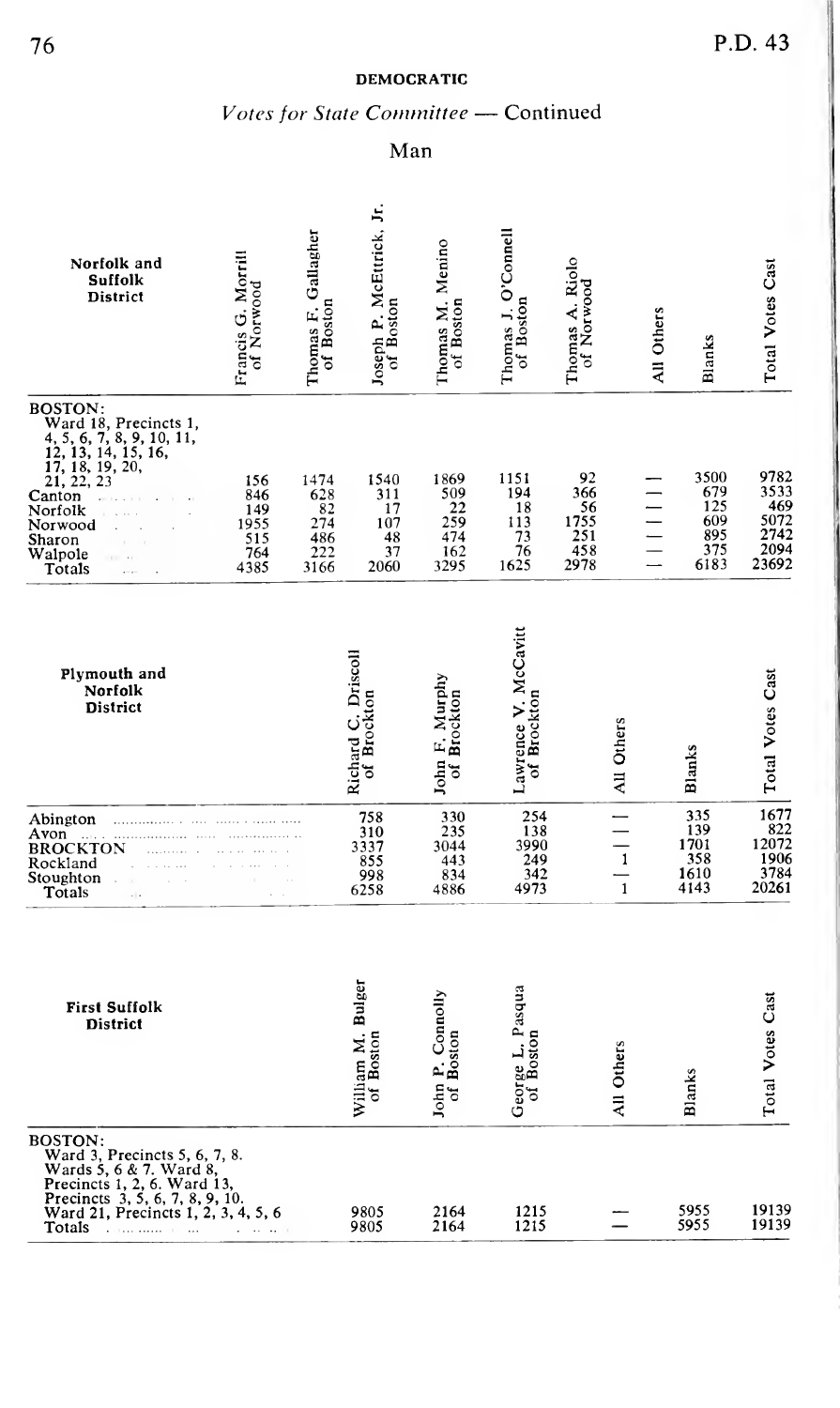# Votes for State Committee - Continued

| Norfolk and<br>Suffolk<br>District                                                                                                                                                                              | Francis G. Morrill<br>of Norwood                                               | Thomas F. Gallagher<br>of Boston                           | Joseph P. McEttrick, Jr<br>of Boston                   | Thomas M. Menino<br>of Boston                          | Thomas J. O'Connell<br>of Boston                             | Thomas A. Riolo<br>of Norwood                                      |                | All Others                                                   | Blanks                                                                                                         | Total Votes Cast                                                                                                  |
|-----------------------------------------------------------------------------------------------------------------------------------------------------------------------------------------------------------------|--------------------------------------------------------------------------------|------------------------------------------------------------|--------------------------------------------------------|--------------------------------------------------------|--------------------------------------------------------------|--------------------------------------------------------------------|----------------|--------------------------------------------------------------|----------------------------------------------------------------------------------------------------------------|-------------------------------------------------------------------------------------------------------------------|
| BOSTON:<br>Ward 18, Precincts 1,<br>4, 5, 6, 7, 8, 9, 10, 11,<br>12, 13, 14, 15, 16,<br>17, 18, 19, 20,<br>21, 22, 23<br>Canton<br>Narfolk<br>Norfolk<br>Norwood<br>Sharon<br>à,<br>Walpole<br>Totals<br>$\sim$ | 156<br>846<br>149<br>$\begin{array}{r} 1955 \\ 515 \\ 764 \\ 4385 \end{array}$ | 1474<br>$628 \over 82$<br>274<br>$\frac{486}{222}$<br>3166 | 1540<br>$\frac{311}{17}$<br>107<br>48<br>37<br>2060    | 1869<br>509<br>$\frac{22}{259}$<br>474<br>162<br>3295  | 1151<br>194<br>18<br>113<br>73<br>$\frac{76}{1625}$          | $\frac{92}{366}$<br>$\frac{56}{1755}$<br>$\frac{251}{458}$<br>2978 |                | $\begin{array}{c} \square \\ \square \\ \square \end{array}$ | $\begin{array}{c}\n 3500 \\  679 \\  \hline\n 125 \\  \hline\n 125\n \end{array}$<br>609<br>895<br>375<br>6183 | 9782<br>3533<br>469<br>469<br>5072<br>2742<br>2094<br>23692                                                       |
| Plymouth and<br>Norfolk<br>District                                                                                                                                                                             |                                                                                |                                                            | Richard C. Driscoll<br>of Brockton                     | John F. Murphy<br>of Brockton                          | Lawrence V. McCavitt<br>of Brockton                          |                                                                    | All Others     |                                                              | <b>Blanks</b>                                                                                                  | Total Votes Cast                                                                                                  |
| Abington<br>Avon<br><b>BROCKTON</b><br>alla care con control con con-<br>Rockland<br>and and and<br>ł.<br>Stoughton<br>Totals<br>$\sim 1.5$                                                                     | and a state of                                                                 |                                                            | 758<br>$\frac{310}{3337}$<br>$\frac{855}{998}$<br>6258 | 330<br>$\frac{235}{3044}$<br>$\frac{443}{834}$<br>4886 | 254<br>138<br>$\frac{130}{249}$<br>$\frac{249}{342}$<br>4973 |                                                                    | $\frac{-1}{1}$ |                                                              | $\frac{335}{139}$<br>1701<br>$\frac{358}{1610}$                                                                | $\begin{array}{r} \n 1677 \\  \hline\n 822 \\  12072 \\  \hline\n 1906 \\  3784 \\  \hline\n 20261\n \end{array}$ |
| <b>First Suffolk</b><br><b>District</b>                                                                                                                                                                         |                                                                                |                                                            | William M. Bulger<br>of Boston                         | John P. Connolly<br>of Boston                          | George L. Pasqua<br>of Boston                                |                                                                    | All Others     |                                                              | <b>Blanks</b>                                                                                                  | Total Votes Cast                                                                                                  |
| BOSTON:<br>Ward 3, Precincts 5, 6, 7, 8.<br>Wards 5, 6 & 7. Ward 8,<br>Precincts 1, 2, 6. Ward 13,<br>Precincts 3, 5, 6, 7, 8, 9, 10.<br>Ward 21, Precincts 1, 2, 3, 4, 5, 6<br>Totals                          |                                                                                |                                                            | 9805<br>9805                                           | 2164<br>2164                                           | 1215<br>1215                                                 |                                                                    |                |                                                              | 5955<br>5955                                                                                                   | 19139<br>19139                                                                                                    |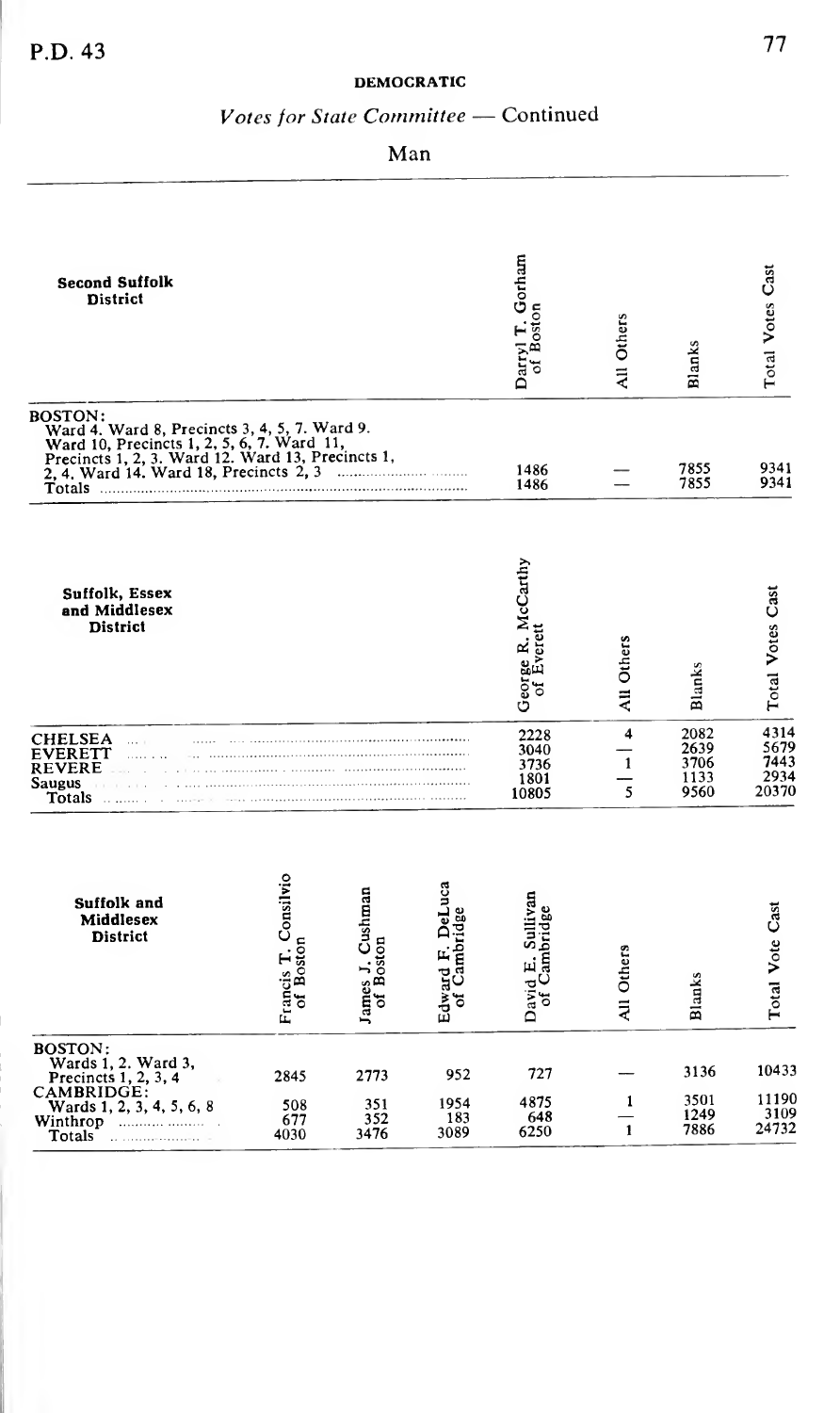# Votes for State Committee — Continued

| <b>Second Suffolk</b><br>District                                                                                                                                                                                      | Daryl T. Gorham<br>of Boston                                                                                    | All Others                    | Blanks                           | Total Votes Cast                      |                                     |                                      |                                       |
|------------------------------------------------------------------------------------------------------------------------------------------------------------------------------------------------------------------------|-----------------------------------------------------------------------------------------------------------------|-------------------------------|----------------------------------|---------------------------------------|-------------------------------------|--------------------------------------|---------------------------------------|
| <b>BOSTON:</b><br>Ward 4. Ward 8, Precincts 3, 4, 5, 7. Ward 9.<br>Ward 10, Precincts 1, 2, 5, 6, 7. Ward 11,<br>Precincts 1, 2, 3. Ward 12. Ward 13, Precincts 1,<br>2, 4. Ward 14. Ward 18, Precincts 2, 3<br>Totals |                                                                                                                 |                               |                                  | 1486<br>1486                          |                                     | 7855<br>7855                         | 9341<br>9341                          |
| Suffolk, Essex<br>and Middlesex<br><b>District</b>                                                                                                                                                                     |                                                                                                                 |                               |                                  | George R. McCarthy<br>of Everett      | All Others                          | Blanks                               | Total Votes Cast                      |
| <b>CHELSEA</b><br><b>EVERETT</b><br><b>REVERE</b><br><b>Saugus</b><br>Totals                                                                                                                                           | the contract of the contract of the contract of the contract of the contract of the contract of the contract of |                               |                                  | 2228<br>3040<br>3736<br>1801<br>10805 | 4<br>$\mathbf{1}$<br>$\overline{5}$ | 2082<br>2639<br>3706<br>1133<br>9560 | 4314<br>5679<br>7443<br>2934<br>20370 |
| Suffolk and<br>Middlesex<br><b>District</b>                                                                                                                                                                            | Francis T. Consilvio<br>of Boston                                                                               | James J. Cushman<br>of Boston | Edward F. DeLuca<br>of Cambridge | David E. Sullivan<br>of Cambridge     | All Others                          | Blanks                               | Total Vote Cast                       |
| <b>BOSTON:</b><br>Wards 1, 2. Ward 3,<br>Precincts 1, 2, 3, 4<br>CAMBRIDGE:<br>Wards 1, 2, 3, 4, 5, 6, 8<br>Winthrop<br>Totals                                                                                         | 2845<br>508<br>677<br>4030                                                                                      | 2773<br>351<br>352<br>3476    | 952<br>1954<br>183<br>3089       | 727<br>4875<br>648<br>6250            | $\mathbf{1}$<br>$\mathbf{1}$        | 3136<br>3501<br>1249<br>7886         | 10433<br>11190<br>3109<br>24732       |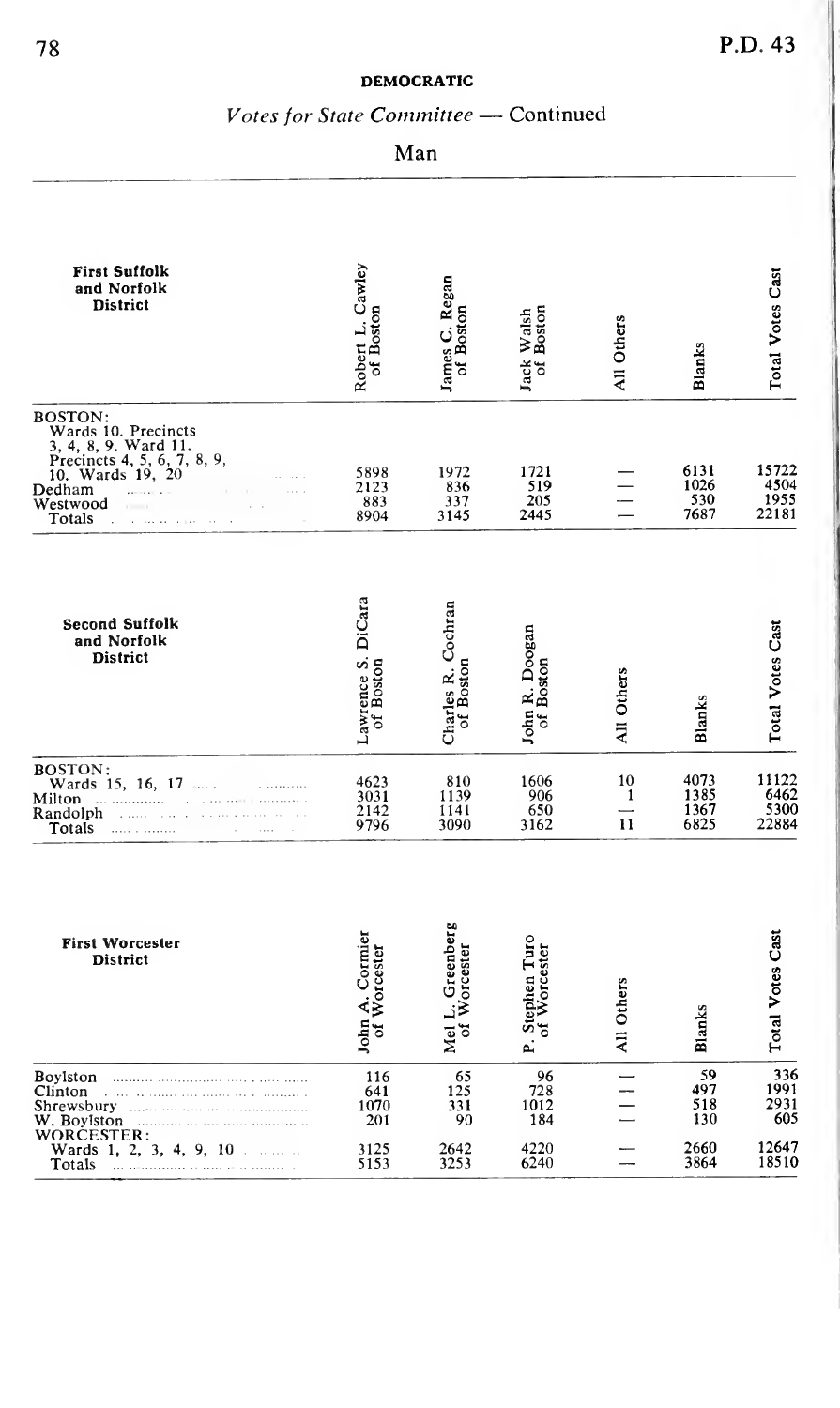| <i>Votes for State Committee</i> — Continued |  |  |
|----------------------------------------------|--|--|
|----------------------------------------------|--|--|

| Man |  |
|-----|--|
|-----|--|

| <b>First Suffolk</b><br>and Norfolk<br><b>District</b>                                                                                                                                                                                      | Robert L. Cawley<br>of Boston   | James C. Regan<br>of Boston      | Jack Walsh<br>of Boston         | All Others               | Blanks                             | Total Votes Cast                  |
|---------------------------------------------------------------------------------------------------------------------------------------------------------------------------------------------------------------------------------------------|---------------------------------|----------------------------------|---------------------------------|--------------------------|------------------------------------|-----------------------------------|
| <b>BOSTON:</b><br>Wards 10, Precincts<br>3, 4, 8, 9. Ward 11.<br>Precincts 4, 5, 6, 7, 8, 9,<br>10. Wards 19, 20<br>Dedham<br>The Common<br>and and a<br>Westwood<br>$\sim$<br>Totals<br>÷<br>$\alpha$ , and an $\alpha$ -part<br>$\bar{z}$ | 5898<br>2123<br>883<br>8904     | 1972<br>836<br>337<br>3145       | 1721<br>519<br>205<br>2445      |                          | 6131<br>1026<br>$\frac{530}{7687}$ | 15722<br>4504<br>1955<br>22181    |
| <b>Second Suffolk</b><br>and Norfolk<br>District                                                                                                                                                                                            | Lawrence S. DiCara<br>of Boston | Charles R. Cochran<br>of Boston  | John R. Doogan<br>of Boston     | All Others               | Blanks                             | <b>Total Votes Cast</b>           |
| <b>BOSTON:</b><br>Wards 15, 16, 17<br>Milton<br>an international contract the community of the community<br>Randolph<br>a martin de la companiencia de<br>Totals<br><b>Service Committee</b><br>and a manual                                | 4623<br>3031<br>2142<br>9796    | 810<br>1139<br>1141<br>3090      | 1606<br>906<br>650<br>3162      | 10<br>$\mathbf{1}$<br>11 | 4073<br>1385<br>1367<br>6825       | 11122<br>6462<br>5300<br>22884    |
| <b>First Worcester</b><br>District                                                                                                                                                                                                          | John A. Cormier<br>of Worcester | Mel L. Greenberg<br>of Worcester | P. Stephen Turo<br>of Worcester | All Others               | Blanks                             | Total Votes Cast                  |
| Clinton<br>the contract communication of the communication<br>W. Boylston                                                                                                                                                                   | 116<br>641<br>1070<br>201       | $^{65}_{125}$<br>331<br>90       | 96<br>728<br>1012<br>184        |                          | 59<br>497<br>518<br>130            | $\frac{336}{1991}$<br>2931<br>605 |
| WORCESTER:<br>Wards 1, 2, 3, 4, 9, 10<br>Totals                                                                                                                                                                                             | 3125<br>5153                    | 2642<br>3253                     | 4220<br>6240                    |                          | 2660<br>3864                       | 12647<br>18510                    |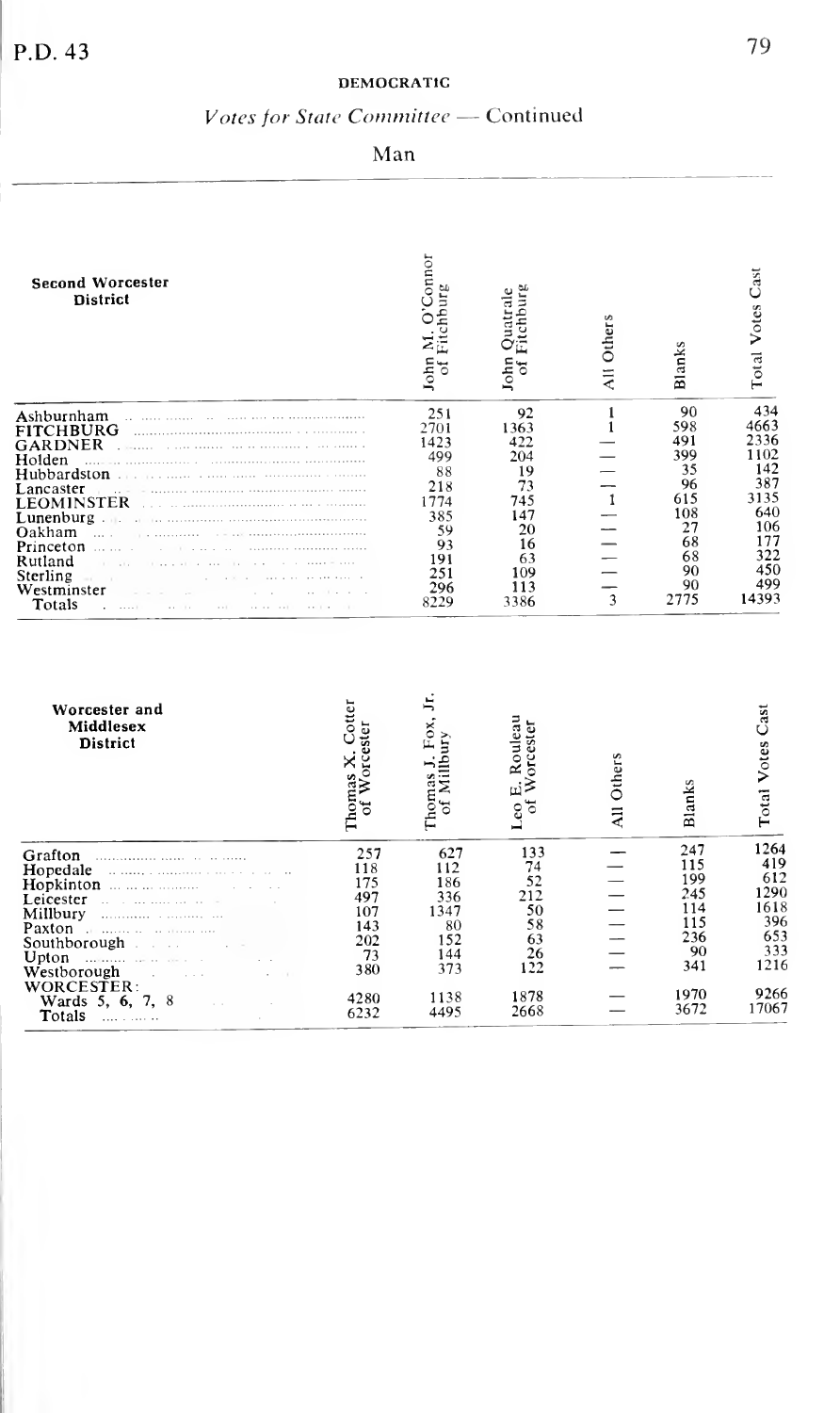#### DEMOCRATIC

### Votes for State Committee — Continued

### Man

| <b>Second Worcester</b><br>District                                                                                                                                                                                                                                                                                                                                                                                                                                                                                              |                                                            | John M. O'Connor<br>of Fitchburg                                                                | Fitchburg<br>John Quatrale<br>ಕ                                                            | All Others                                                              | Blanks                                                                                  | Total Votes Cast                                                                                     |
|----------------------------------------------------------------------------------------------------------------------------------------------------------------------------------------------------------------------------------------------------------------------------------------------------------------------------------------------------------------------------------------------------------------------------------------------------------------------------------------------------------------------------------|------------------------------------------------------------|-------------------------------------------------------------------------------------------------|--------------------------------------------------------------------------------------------|-------------------------------------------------------------------------|-----------------------------------------------------------------------------------------|------------------------------------------------------------------------------------------------------|
| Ashburnham<br>the communication of the communication of the communication<br><b>FITCHBURG</b><br><b>GARDNER</b><br>a massacre in successive contract the community of the company<br>Holden<br>Lancaster<br><b>LEOMINSTER</b><br>and a communication of the communication<br>Lunenburg<br>de la componencia componencia en especies<br>Oakham<br>$\cdots$<br>Princeton<br>Rutland<br><b>College</b><br>The contract of the con-<br>Sterling<br>Westminster<br>Totals<br><b>Contract</b><br>$10 - 10$<br>and the state of<br>1.11 | and a series and control                                   | 251<br>2701<br>1423<br>499<br>88<br>218<br>1774<br>385<br>59<br>93<br>191<br>251<br>296<br>8229 | 92<br>1363<br>422<br>204<br>19<br>73<br>745<br>147<br>20<br>16<br>63<br>109<br>113<br>3386 | $\mathbf{1}$<br>$\mathbf{1}$<br>$\mathbf{1}$<br>$\overline{\mathbf{3}}$ | 90<br>598<br>491<br>399<br>35<br>96<br>615<br>108<br>27<br>68<br>68<br>90<br>90<br>2775 | 434<br>4663<br>2336<br>1102<br>142<br>387<br>3135<br>640<br>106<br>177<br>322<br>450<br>499<br>14393 |
| Worcester and<br>Middlesex<br><b>District</b>                                                                                                                                                                                                                                                                                                                                                                                                                                                                                    | Thomas X. Cotter<br>of Worcester                           | 5<br>Thomas J. Fox,<br>of Millbury                                                              | Rouleau<br>of Worcester<br>щ<br>Leo:                                                       | All Others                                                              | Blanks                                                                                  | Total Votes Cast                                                                                     |
| Grafton<br>$Hopkinton$<br>Leicester<br>the communication of<br>Millbury<br>Southborough<br>Upton<br>The company of the company<br>Westborough                                                                                                                                                                                                                                                                                                                                                                                    | 257<br>118<br>175<br>497<br>107<br>143<br>202<br>73<br>380 | 627<br>112<br>186<br>336<br>1347<br>80<br>152<br>144<br>373                                     | 133<br>74<br>52<br>212<br>50<br>58<br>63<br>26<br>122                                      |                                                                         | 247<br>115<br>199<br>245<br>114<br>115<br>236<br>90<br>341                              | 1264<br>419<br>612<br>1290<br>1618<br>396<br>653<br>333<br>1216                                      |

1138<br>4495

4280<br>6232

1878<br>2668

 $\overline{\phantom{0}}$  $\equiv$  1970<br>3672

9266<br>17067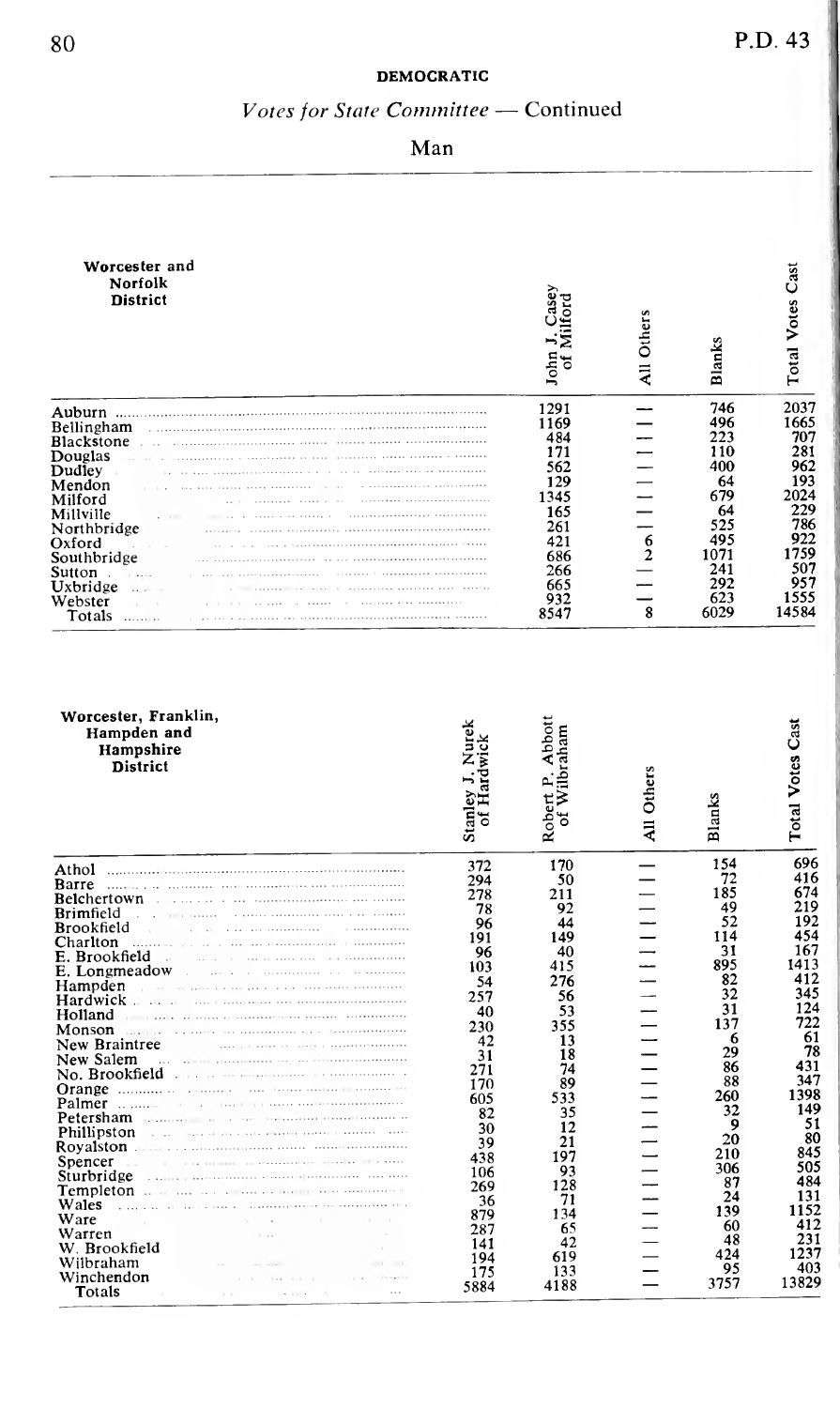# Votes for State Committee — Continued

| Worcester and<br>Norfolk<br><b>District</b>                                                                                                                                                                                                                                 | 통형   | S<br>Other | Blanks | ast<br>υ<br>Votes<br><b>Total</b> |
|-----------------------------------------------------------------------------------------------------------------------------------------------------------------------------------------------------------------------------------------------------------------------------|------|------------|--------|-----------------------------------|
| Auburn                                                                                                                                                                                                                                                                      | 1291 |            | 746    | 2037                              |
| Bellingham                                                                                                                                                                                                                                                                  | 1169 |            | 496    | 1665                              |
| <b>Blackstone</b>                                                                                                                                                                                                                                                           | 484  |            | 223    | 707                               |
| Douglas                                                                                                                                                                                                                                                                     | 171  |            | 110    | 281                               |
| Dudley<br>and the company company of the second company of the company of                                                                                                                                                                                                   | 562  |            | 400    | 962                               |
| Mendon<br>a concerned the contract of the<br>The Commission of the Commission of the Commission of the Commission of the Commission of the Commission of the Commission of the Commission of the Commission of the Commission of the Commission of the Commission of the Co | 129  |            | 64     | 193                               |
| Milford<br><br>and the companies of the companies and                                                                                                                                                                                                                       | 1345 |            | 679    | :024                              |
| Millville<br>the company of the company of the company of the company of the company of the company of the company of the company of the company of the company of the company of the company of the company of the company of the company<br>$\sim$ 100 $-$                | 165  |            | 64     | 229                               |
| Northbridge                                                                                                                                                                                                                                                                 | 261  |            |        | 786                               |
| Oxford<br>The contract of the commission of the commission of the contract of the contract of the contract of the contract of the contract of the contract of the contract of the contract of the contract of the contract of the contra                                    | 421  | 6          | 495    | 922                               |
| Southbridge                                                                                                                                                                                                                                                                 | 686  |            | ־מו    | 759                               |
| Sutton<br><b>Contract</b>                                                                                                                                                                                                                                                   | 266  |            |        | 507                               |
| Uxbridge<br>The company of the contract and company and contract the company                                                                                                                                                                                                | 665  |            | 292    | 957                               |
| Webster<br>a company and the company of the company who concerned                                                                                                                                                                                                           | 932  |            |        | 555                               |
| Totals                                                                                                                                                                                                                                                                      | 8547 | 8          | 6029   | 14584                             |

| Worcester, Franklin,<br>Hampden and<br>Hampshire<br><b>District</b> |                                                                                                                                                                                                                                | urek<br>Stanley<br>៵ | Abbott<br>ilbraham<br>Robert<br>៵ | Others<br>Ę | Blanks   | ä<br>ن<br>Votes<br>Total |
|---------------------------------------------------------------------|--------------------------------------------------------------------------------------------------------------------------------------------------------------------------------------------------------------------------------|----------------------|-----------------------------------|-------------|----------|--------------------------|
| Athol                                                               |                                                                                                                                                                                                                                | 372                  | 170                               |             | 154      | 696                      |
| Barre                                                               | analist and interested the communities are received there                                                                                                                                                                      | 294                  | 50                                |             | 72       | 416                      |
| Belchertown                                                         |                                                                                                                                                                                                                                | 278                  | 211                               |             | 185      | 674                      |
| <b>Brimfield</b>                                                    | a construction of the contract of the construction of the construction of the construction of the construction                                                                                                                 | 78                   | 92                                |             | 49       | 219                      |
| <b>Brookfield</b>                                                   | and a resonance of the control of the                                                                                                                                                                                          | 96                   | 44                                |             | 52       | 192                      |
| Charlton                                                            |                                                                                                                                                                                                                                | 191                  | 149                               |             | 114      | 454                      |
|                                                                     | and the second company of the company of the company of the second company of the second company of the second company of the second company of the second company of the second company of the second company of the second c | 96                   | 40                                |             | 31       | 167                      |
| E. Brookfield                                                       | and a man and the communities                                                                                                                                                                                                  | 103                  | 415                               |             | 895      | 1413                     |
| E. Longmeadow                                                       |                                                                                                                                                                                                                                | 54                   | 276                               |             | 82       | 412                      |
| Hampden                                                             | The contract and contract and contract and contract and contract the                                                                                                                                                           | 257                  | 56                                |             | 32       | 345                      |
|                                                                     |                                                                                                                                                                                                                                | 40                   | 53                                |             | 31       | 124                      |
| Holland                                                             | The company of the company of the company of the company of the company of the                                                                                                                                                 | 230                  | 355                               |             | 137      | 722                      |
| Monson                                                              | The property of the company and the company of the company of the company of the company of the company of the                                                                                                                 | 42                   | 13                                |             | 6        | 61                       |
| New Braintree                                                       | the community of the community of the community                                                                                                                                                                                | 31                   | 18                                |             | 29       | 78                       |
| New Salem                                                           | and the company of the company of the company of the company of the company of the company of the company of the company of the company of the company of the company of the company of the company of the company of the comp |                      | 74                                |             | 86       | 431                      |
| No. Brookfield                                                      | The proposition of the community of the community of                                                                                                                                                                           | 271<br>170           | 89                                |             | 88       | 347                      |
| Orange                                                              | announced a summer and terms made in prime to                                                                                                                                                                                  |                      |                                   |             | 260      | 398                      |
| Palmer                                                              | argument of the company of the company company company of the company of the company of the company of the company of the company of the company of the company of the company of the company of the company of the company of | 605                  | 533                               |             | 32       | 149                      |
|                                                                     |                                                                                                                                                                                                                                | 82                   | 35                                |             | 9        | 51                       |
|                                                                     |                                                                                                                                                                                                                                | 30                   | 12                                |             | 20       | 80                       |
|                                                                     |                                                                                                                                                                                                                                | 39                   | 21                                |             | 210      | 845                      |
| Spencer                                                             | 22 The company programmed works the mo-                                                                                                                                                                                        | 438                  | 197                               |             | 306      | 505                      |
| Sturbridge                                                          | the company and construction of the company of the company of the company of the company of the company of the company of the company of the company of the company of the company of the company of the company of the compan | 106                  | 93                                |             |          | 484                      |
|                                                                     |                                                                                                                                                                                                                                | 269                  | 128                               |             | 87<br>24 | 131                      |
| Wales                                                               | a sale of the state of the company and the company of the                                                                                                                                                                      | 36                   | 71                                |             | 139      | 152                      |
| Ware                                                                |                                                                                                                                                                                                                                | 879                  | 134                               |             |          | 412                      |
| Warren                                                              |                                                                                                                                                                                                                                | 287                  | 65                                |             | 60       | 231                      |
| W. Brookfield                                                       |                                                                                                                                                                                                                                | 141                  | 42                                |             | 48       | 237                      |
| Wilbraham                                                           | ×.                                                                                                                                                                                                                             | 194                  | 619                               |             | 424      |                          |
| Winchendon                                                          | 10.00                                                                                                                                                                                                                          | 175                  | 133                               |             | 95       | 403                      |
| Totals                                                              |                                                                                                                                                                                                                                | 5884                 | 4188                              |             | 3757     | 13829                    |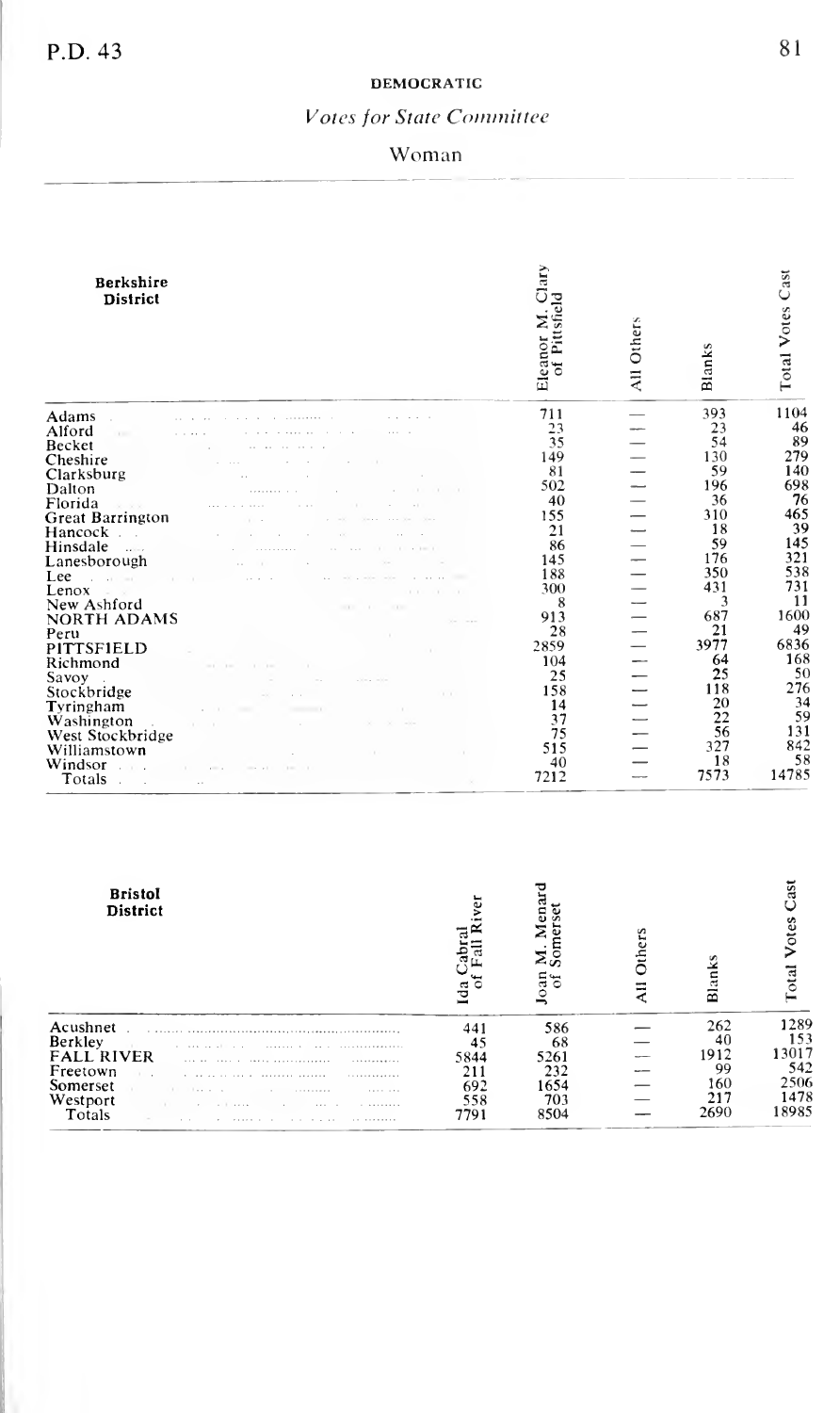### Votes for State Committee

### Woman

| Berkshire<br>District                                                                                                                                                                                                                                                                                                                                                                                                                                                                                                                                                                                          |                                                                                                   | Eleanor M. Clary<br>of Pittsfield<br>Pittsfield                                                                                                                                     | All Others | Blanks                                                                                                                                                                | Total Votes Cast                                                                                                                                                              |
|----------------------------------------------------------------------------------------------------------------------------------------------------------------------------------------------------------------------------------------------------------------------------------------------------------------------------------------------------------------------------------------------------------------------------------------------------------------------------------------------------------------------------------------------------------------------------------------------------------------|---------------------------------------------------------------------------------------------------|-------------------------------------------------------------------------------------------------------------------------------------------------------------------------------------|------------|-----------------------------------------------------------------------------------------------------------------------------------------------------------------------|-------------------------------------------------------------------------------------------------------------------------------------------------------------------------------|
| Adams<br>Alford<br>and and the<br><b>Contract</b><br><b>COLLECTION</b><br>Becket<br>Cheshire<br>$\sim$<br>Clarksburg<br>Dalton<br>Florida<br>.<br>Great Barrington<br><b>Contractor</b><br>Hancock<br>$\sim$<br>Hinsdale<br><b>Service</b><br>Lanesborough<br>The Control<br><b>College</b><br>Lee<br><b>Contractor</b><br>The Control<br>Lenox<br>New Ashford<br><b>NORTH ADAMS</b><br>Peru<br>PITTSFIELD<br>Richmond<br>Savov<br>$\sim$<br>Stockbridge<br>Tyringham<br>Washington<br>$\mathbf{r} = \mathbf{r}$<br>West Stockbridge<br>Williamstown<br>Windsor<br>$\sim 10^{-1}$<br>$\sim$ 11<br>Totals<br>÷. | $\sim$                                                                                            | 711<br>23<br>$\overline{35}$<br>149<br>81<br>502<br>40<br>155<br>21<br>86<br>145<br>188<br>300<br>8<br>913<br>28<br>2859<br>104<br>25<br>158<br>14<br>37<br>75<br>515<br>40<br>7212 |            | 393<br>23<br>54<br>130<br>59<br>196<br>36<br>310<br>18<br>59<br>176<br>350<br>431<br>3<br>687<br>21<br>3977<br>64<br>25<br>118<br>20<br>22<br>56<br>327<br>18<br>7573 | 1104<br>46<br>89<br>279<br>140<br>698<br>76<br>465<br>39<br>145<br>321<br>538<br>731<br>11<br>1600<br>49<br>6836<br>168<br>50<br>276<br>34<br>59<br>131<br>842<br>58<br>14785 |
| <b>Bristol</b><br><b>District</b>                                                                                                                                                                                                                                                                                                                                                                                                                                                                                                                                                                              | Ida Cabral<br>of Fall River                                                                       | Joan M. Menard<br>of Somerset                                                                                                                                                       | All Others | Blanks                                                                                                                                                                | Total Votes Cast                                                                                                                                                              |
| Acushnet<br>÷.<br>Berkley<br>the company of the company of the company of the company of the company of the company of the company of the company of the company of the company of the company of the company of the company of the company of the company<br><b>FALL RIVER</b><br>Freetown<br>a complete and considerable<br><b>COLLA</b><br>Somerset<br>the contract of the contract of the<br>Westport<br><b>Contract Contract</b><br>Totals                                                                                                                                                                | 441<br>45<br>5844<br>211<br>692<br>558<br><b>Contractor</b><br>7791<br>$\mathcal{L}^{\text{max}}$ | 586<br>68<br>5261<br>232<br>1654<br>703<br>8504                                                                                                                                     |            | 262<br>40<br>1912<br>99<br>160<br>217<br>2690                                                                                                                         | 1289<br>153<br>13017<br>542<br>2506<br>1478<br>18985                                                                                                                          |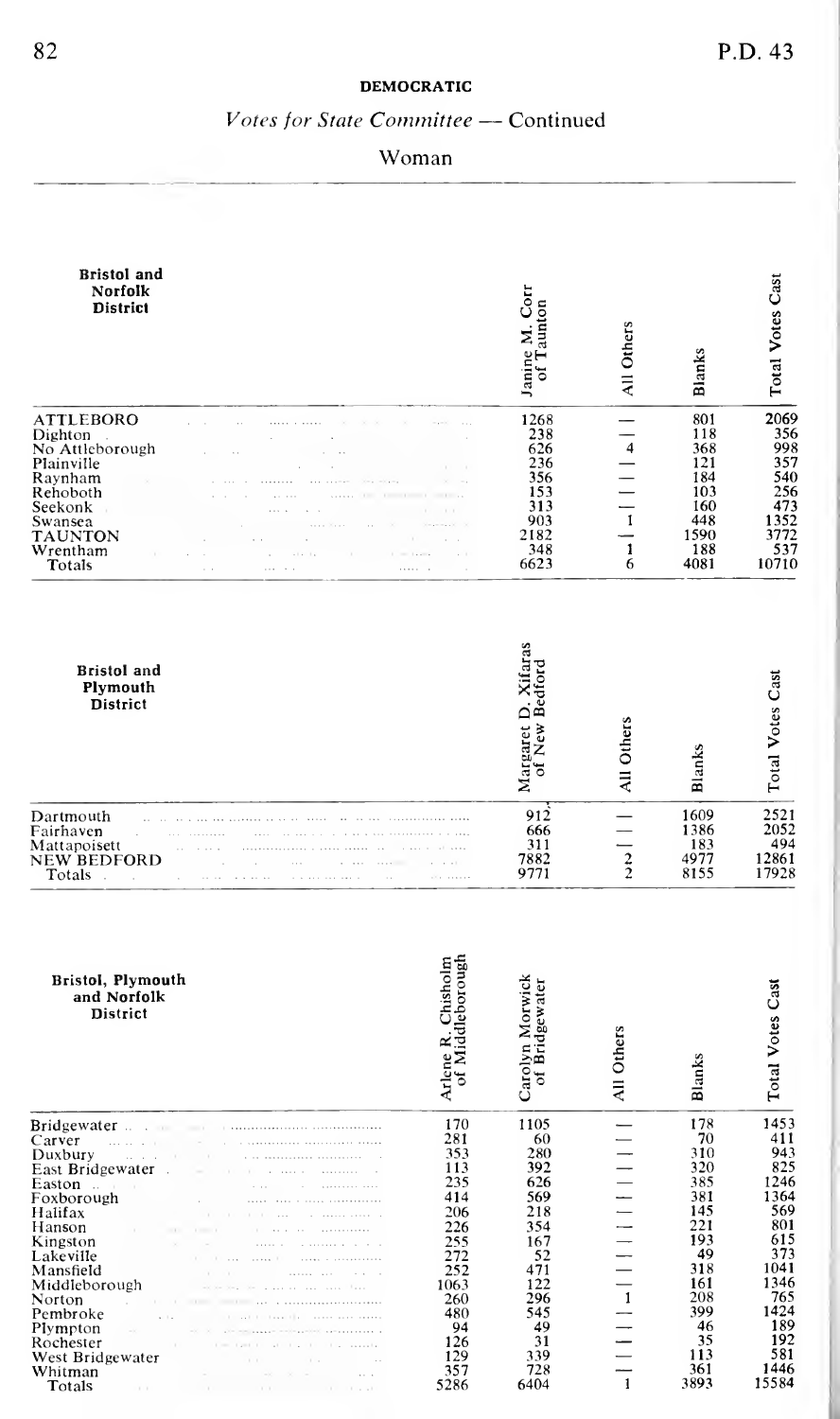# Votes for State Committee — Continued

### Woman

| <b>Bristol</b> and<br>Norfolk<br>District                                                                                                                                                                                                                                                                                                                                                                                          |                                                                                                                                           | Janine M. Corr<br>of Taunton                                                                                                    | All Others                                                                                                                                                                                                                                                                                                                                                                                                                                                                                                                                                                            | Blanks                                                                                                                         | Total Votes Cast                                                                                                                                 |
|------------------------------------------------------------------------------------------------------------------------------------------------------------------------------------------------------------------------------------------------------------------------------------------------------------------------------------------------------------------------------------------------------------------------------------|-------------------------------------------------------------------------------------------------------------------------------------------|---------------------------------------------------------------------------------------------------------------------------------|---------------------------------------------------------------------------------------------------------------------------------------------------------------------------------------------------------------------------------------------------------------------------------------------------------------------------------------------------------------------------------------------------------------------------------------------------------------------------------------------------------------------------------------------------------------------------------------|--------------------------------------------------------------------------------------------------------------------------------|--------------------------------------------------------------------------------------------------------------------------------------------------|
| ATTLEBORO<br>Dighton<br>No Attleborough<br>Plainville<br>Raynham<br>Rehoboth<br>Seekonk<br>Swansea<br><b>TAUNTON</b><br>Wrentham<br>Totals<br>$\sim$<br>$\sim$ $\sim$                                                                                                                                                                                                                                                              | J.<br>.                                                                                                                                   | $\begin{array}{r} 1268 \\ 238 \\ 626 \end{array}$<br>236<br>356<br>153<br>313<br>903<br>2182<br>348<br>6623                     | $\frac{-}{4}$<br>$\frac{-}{1}$<br>$\frac{-}{1}$<br>$\frac{-}{1}$<br>6                                                                                                                                                                                                                                                                                                                                                                                                                                                                                                                 | 801<br>118<br>368<br>121<br>184<br>103<br>160<br>448<br>1590<br>188<br>4081                                                    | 2069<br>356<br>998<br>357<br>$540$<br>$256$<br>$473$<br>$1352$<br>$3772$<br>$537$<br>10710                                                       |
| <b>Bristol</b> and<br>Plymouth<br><b>District</b>                                                                                                                                                                                                                                                                                                                                                                                  |                                                                                                                                           | Margaret D. Xifaras<br>of New Bedford                                                                                           | All Others                                                                                                                                                                                                                                                                                                                                                                                                                                                                                                                                                                            | <b>Blanks</b>                                                                                                                  | Total Votes Cast                                                                                                                                 |
| Dartmouth<br>Fairhaven<br>an ann an 1970. Tha an t-aird an t-aird an t-aird an t-aird an t-aird an t-aird an t-aird an t-aird an t-aird<br>Mattapoisett<br><b>NEW BEDFORD</b><br>Totals                                                                                                                                                                                                                                            | and company of the control<br>$\mathbb{R}^2$                                                                                              | 912<br>666<br>311<br>7882<br>9771                                                                                               | $\frac{1}{2}$                                                                                                                                                                                                                                                                                                                                                                                                                                                                                                                                                                         | 1609<br>1386<br>183<br>4977<br>8155                                                                                            | 2521<br>2052<br>494<br>12861<br>17928                                                                                                            |
| <b>Bristol</b> , Plymouth<br>and Norfolk<br><b>District</b>                                                                                                                                                                                                                                                                                                                                                                        | Arlene R. Chisholm<br>of Middleborough                                                                                                    | Carolyn Morwick<br>of Bridgewater                                                                                               | All Others                                                                                                                                                                                                                                                                                                                                                                                                                                                                                                                                                                            | Blanks                                                                                                                         | Total Votes Cast                                                                                                                                 |
| Bridgewater<br>Carver<br>$\sim$<br>$\alpha=1$ .<br>Duxbury<br>East Bridgewater<br>Easton<br>Foxborough<br>a y la comanda<br>Halifax<br>Hanson<br>$\sim$<br>Kingston<br>Lakeville<br>Mansfield<br>Middleborough<br>Norton<br>Pembroke<br>the company of the company and some<br>Plympton<br>an experience and a construction of<br>Rochester<br>the new country of the country and country<br>West Bridgewater<br>Whitman<br>Totals | 170<br>281<br>353<br>113<br>235<br>414<br>206<br>226<br>255<br>272<br>252<br>1063<br>260<br>480<br>94<br>126<br>$\frac{129}{357}$<br>5286 | 1105<br>60<br>280<br>392<br>626<br>569<br>218<br>354<br>167<br>52<br>471<br>122<br>296<br>545<br>49<br>31<br>339<br>728<br>6404 | $\begin{array}{c} \begin{array}{c} \begin{array}{c} \begin{array}{c} \end{array}\\ \begin{array}{c} \end{array}\\ \begin{array}{c} \end{array}\\ \begin{array}{c} \end{array}\\ \begin{array}{c} \end{array}\\ \begin{array}{c} \end{array}\\ \begin{array}{c} \end{array}\\ \begin{array}{c} \end{array}\\ \begin{array}{c} \end{array}\\ \begin{array}{c} \end{array}\\ \begin{array}{c} \end{array}\\ \begin{array}{c} \end{array}\\ \begin{array}{c} \end{array}\\ \begin{array}{c} \end{array}\\ \begin{array}{c} \end{array}\\ \begin{array}{c} \end{array}\\ \begin{array}{c}$ | 178<br>70<br>310<br>320<br>385<br>381<br>145<br>221<br>193<br>49<br>318<br>161<br>208<br>399<br>46<br>35<br>113<br>361<br>3893 | 1453<br>411<br>943<br>825<br>1246<br>1364<br>569<br>801<br>615<br>$\frac{373}{1041}$<br>1346<br>765<br>424<br>189<br>192<br>581<br>1446<br>15584 |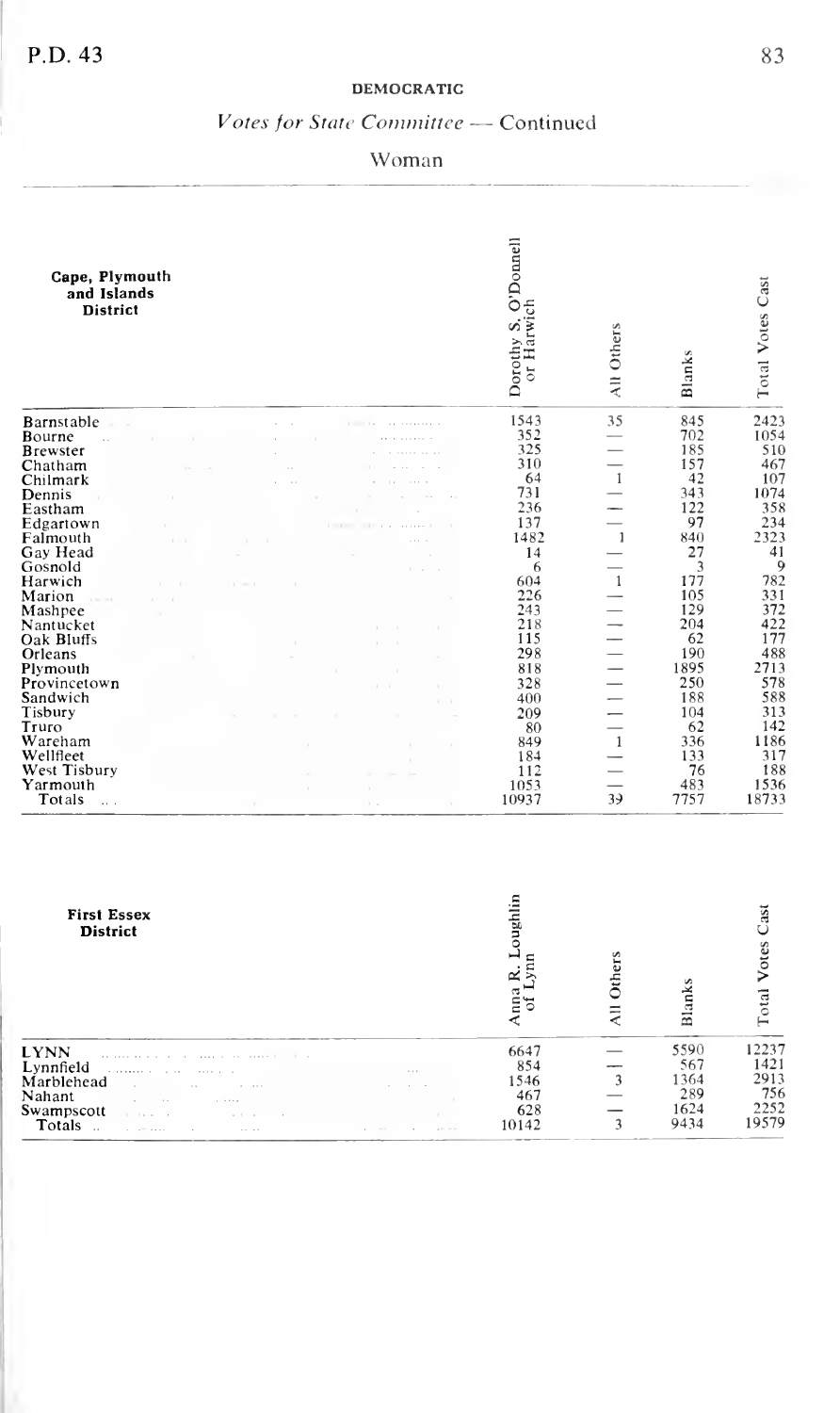#### Votes for State Committee — Continued

# Woman

| Cape, Plymouth<br>and Islands<br>District                                                                                                                                                                                                                                                                                                                                                                                                                                                                                                                                                                                                                                                                                    |                                    | Dorothy S. O'Donnell<br>or Harwich                                                                                                                                                          | All Others                                                                                       | Blanks                                                                                                                                                                              | Total Votes Cast                                                                                                                                                                                |
|------------------------------------------------------------------------------------------------------------------------------------------------------------------------------------------------------------------------------------------------------------------------------------------------------------------------------------------------------------------------------------------------------------------------------------------------------------------------------------------------------------------------------------------------------------------------------------------------------------------------------------------------------------------------------------------------------------------------------|------------------------------------|---------------------------------------------------------------------------------------------------------------------------------------------------------------------------------------------|--------------------------------------------------------------------------------------------------|-------------------------------------------------------------------------------------------------------------------------------------------------------------------------------------|-------------------------------------------------------------------------------------------------------------------------------------------------------------------------------------------------|
| Barnstable<br>The company of the company of<br>ALC: N<br>Bourne<br><b>Committee Committee</b><br>$\sim$<br>$\sim 100$<br>a communication<br><b>Brewster</b><br>v.<br>ΛÜ,<br>Chatham<br>The County of the<br>Chilmark<br>and the control<br>$\sim$ 100<br>Dennis<br><b>CONTRACTOR</b><br>Eastham<br>Edgartown<br>commentary and a<br>Falmouth<br>$\mathbf{r}$<br>Gay Head<br>Gosnold<br>Harwich<br>$\mathbf{r} = \mathbf{r}$<br>Marion<br>Mashpee<br>$\sim$<br>Nantucket<br>$1 - 11$<br>Oak Bluffs<br><b>COLLECTION</b><br>$\mathcal{A} \subset \mathcal{A}$<br>Orleans<br>$\sim$<br>Plymouth<br>Provincetown<br>Sandwich<br>Tisbury<br>Truro<br>Wareham<br>Wellfleet<br>West Tisbury<br>Yarmouth<br>V.<br>Totals<br>$\sim$ . | $\mathbf{1}=\mathbf{1}=\mathbf{1}$ | 1543<br>352<br>325<br>310<br>64<br>731<br>236<br>137<br>1482<br>14<br>6<br>604<br>226<br>243<br>218<br>115<br>298<br>818<br>328<br>400<br>209<br>- 80<br>849<br>184<br>112<br>1053<br>10937 | 35<br>$\overline{\phantom{a}}$<br>$\mathbf{I}$<br>$\mathbf{1}$<br>$\,1\,$<br>$\frac{1}{1}$<br>39 | 845<br>702<br>185<br>157<br>42<br>343<br>122<br>97<br>840<br>27<br>3<br>177<br>105<br>129<br>204<br>62<br>190<br>1895<br>250<br>188<br>104<br>62<br>336<br>133<br>76<br>483<br>7757 | 2423<br>1054<br>510<br>467<br>107<br>1074<br>358<br>234<br>2323<br>41<br>9<br>782<br>331<br>372<br>422<br>177<br>488<br>2713<br>578<br>588<br>313<br>142<br>1186<br>317<br>188<br>1536<br>18733 |
| <b>First Essex</b><br><b>District</b>                                                                                                                                                                                                                                                                                                                                                                                                                                                                                                                                                                                                                                                                                        |                                    | Anna R. Loughlin<br>of Lynn                                                                                                                                                                 | All Others                                                                                       | <b>Blanks</b>                                                                                                                                                                       | Total Votes Cast                                                                                                                                                                                |
| LYNN<br>a an an<br>Lynnfield and a management of the state of the state of the state of the state of the state of the state of the<br>Marblehead<br>$\mathcal{A}(\mathcal{A})$ , and $\mathcal{A}(\mathcal{A})$ are $\mathcal{A}(\mathcal{A})$ , and<br>and the control<br>Nahant<br>$\sim 10^{-11}$<br>Swampscott<br>The process of<br>$\sim$ 100 $\pm$<br>$\sim$ 100 $\mu$                                                                                                                                                                                                                                                                                                                                                 |                                    | 6647<br>854<br>1546<br>467<br>628<br>10142                                                                                                                                                  | $\overline{\mathbf{3}}$<br>$\overline{\mathbf{3}}$                                               | 5590<br>567<br>1364<br>289<br>1624<br>9434                                                                                                                                          | 12237<br>1421<br>2913<br>756<br>2252<br>19579                                                                                                                                                   |